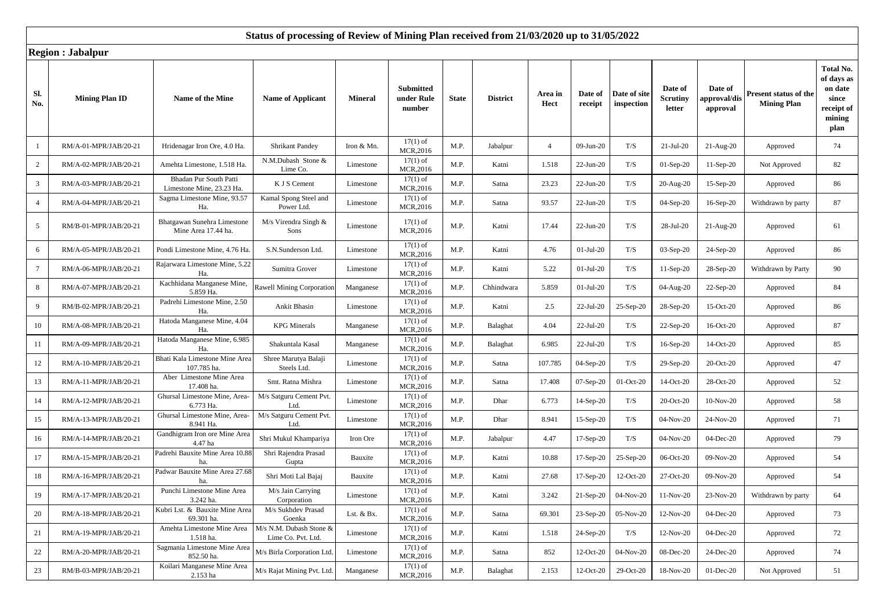|                 | iwgion , oabaipui     |                                                     |                                               |                |                                          |              |                 |                 |                    |                            |                                      |                                     |                                             |                                                                             |
|-----------------|-----------------------|-----------------------------------------------------|-----------------------------------------------|----------------|------------------------------------------|--------------|-----------------|-----------------|--------------------|----------------------------|--------------------------------------|-------------------------------------|---------------------------------------------|-----------------------------------------------------------------------------|
| Sl.<br>No.      | <b>Mining Plan ID</b> | Name of the Mine                                    | <b>Name of Applicant</b>                      | <b>Mineral</b> | <b>Submitted</b><br>under Rule<br>number | <b>State</b> | <b>District</b> | Area in<br>Hect | Date of<br>receipt | Date of site<br>inspection | Date of<br><b>Scrutiny</b><br>letter | Date of<br>approval/dis<br>approval | Present status of the<br><b>Mining Plan</b> | Total No.<br>of days as<br>on date<br>since<br>receipt of<br>mining<br>plan |
| 1               | RM/A-01-MPR/JAB/20-21 | Hridenagar Iron Ore, 4.0 Ha.                        | <b>Shrikant Pandey</b>                        | Iron & Mn.     | $17(1)$ of<br>MCR,2016                   | M.P.         | Jabalpur        | $\overline{4}$  | 09-Jun-20          | T/S                        | $21-Jul-20$                          | $21-Aug-20$                         | Approved                                    | 74                                                                          |
| $\overline{c}$  | RM/A-02-MPR/JAB/20-21 | Amehta Limestone, 1.518 Ha.                         | N.M.Dubash Stone &<br>Lime Co.                | Limestone      | $17(1)$ of<br>MCR, 2016                  | M.P.         | Katni           | 1.518           | 22-Jun-20          | T/S                        | $01-Sep-20$                          | $11-Sep-20$                         | Not Approved                                | 82                                                                          |
| $\mathbf{3}$    | RM/A-03-MPR/JAB/20-21 | Bhadan Pur South Patti<br>Limestone Mine, 23.23 Ha. | K J S Cement                                  | Limestone      | $17(1)$ of<br>MCR,2016                   | M.P.         | Satna           | 23.23           | 22-Jun-20          | T/S                        | 20-Aug-20                            | $15-Sep-20$                         | Approved                                    | 86                                                                          |
| $\overline{4}$  | RM/A-04-MPR/JAB/20-21 | Sagma Limestone Mine, 93.57<br>Ha.                  | Kamal Spong Steel and<br>Power Ltd.           | Limestone      | $17(1)$ of<br>MCR,2016                   | M.P.         | Satna           | 93.57           | $22$ -Jun-20       | T/S                        | 04-Sep-20                            | 16-Sep-20                           | Withdrawn by party                          | 87                                                                          |
| 5               | RM/B-01-MPR/JAB/20-21 | Bhatgawan Sunehra Limestone<br>Mine Area 17.44 ha.  | M/s Virendra Singh &<br>Sons                  | Limestone      | $17(1)$ of<br>MCR,2016                   | M.P.         | Katni           | 17.44           | $22-Jun-20$        | T/S                        | 28-Jul-20                            | $21-Aug-20$                         | Approved                                    | 61                                                                          |
| 6               | RM/A-05-MPR/JAB/20-21 | Pondi Limestone Mine, 4.76 Ha                       | S.N.Sunderson Ltd.                            | Limestone      | $17(1)$ of<br>MCR,2016                   | M.P.         | Katni           | 4.76            | $01-Jul-20$        | T/S                        | 03-Sep-20                            | 24-Sep-20                           | Approved                                    | 86                                                                          |
| $7\phantom{.0}$ | RM/A-06-MPR/JAB/20-21 | Rajarwara Limestone Mine, 5.22<br>Ha.               | Sumitra Grover                                | Limestone      | $17(1)$ of<br>MCR, 2016                  | M.P.         | Katni           | 5.22            | $01-Jul-20$        | T/S                        | 11-Sep-20                            | 28-Sep-20                           | Withdrawn by Party                          | 90                                                                          |
| 8               | RM/A-07-MPR/JAB/20-21 | Kachhidana Manganese Mine,<br>5.859 Ha.             | <b>Rawell Mining Corporation</b>              | Manganese      | $17(1)$ of<br>MCR,2016                   | M.P.         | Chhindwara      | 5.859           | $01$ -Jul-20       | T/S                        | 04-Aug-20                            | 22-Sep-20                           | Approved                                    | 84                                                                          |
| 9               | RM/B-02-MPR/JAB/20-21 | Padrehi Limestone Mine, 2.50<br>Ha.                 | Ankit Bhasin                                  | Limestone      | $17(1)$ of<br>MCR,2016                   | M.P.         | Katni           | 2.5             | 22-Jul-20          | 25-Sep-20                  | 28-Sep-20                            | 15-Oct-20                           | Approved                                    | 86                                                                          |
| 10              | RM/A-08-MPR/JAB/20-21 | Hatoda Manganese Mine, 4.04<br>Ha.                  | <b>KPG</b> Minerals                           | Manganese      | $17(1)$ of<br>MCR,2016                   | M.P.         | Balaghat        | 4.04            | 22-Jul-20          | T/S                        | 22-Sep-20                            | 16-Oct-20                           | Approved                                    | 87                                                                          |
| 11              | RM/A-09-MPR/JAB/20-21 | Hatoda Manganese Mine, 6.985<br>Ha.                 | Shakuntala Kasal                              | Manganese      | $17(1)$ of<br>MCR,2016                   | M.P.         | Balaghat        | 6.985           | 22-Jul-20          | T/S                        | 16-Sep-20                            | 14-Oct-20                           | Approved                                    | 85                                                                          |
| 12              | RM/A-10-MPR/JAB/20-21 | Bhati Kala Limestone Mine Area<br>107.785 ha.       | Shree Marutya Balaji<br>Steels Ltd.           | Limestone      | $17(1)$ of<br>MCR,2016                   | M.P.         | Satna           | 107.785         | 04-Sep-20          | T/S                        | 29-Sep-20                            | 20-Oct-20                           | Approved                                    | 47                                                                          |
| 13              | RM/A-11-MPR/JAB/20-21 | Aber Limestone Mine Area<br>17.408 ha.              | Smt. Ratna Mishra                             | Limestone      | $17(1)$ of<br>MCR,2016                   | M.P.         | Satna           | 17.408          | 07-Sep-20          | 01-Oct-20                  | 14-Oct-20                            | 28-Oct-20                           | Approved                                    | 52                                                                          |
| 14              | RM/A-12-MPR/JAB/20-21 | Ghursal Limestone Mine, Area<br>6.773 Ha.           | M/s Satguru Cement Pvt.<br>Ltd.               | Limestone      | $17(1)$ of<br>MCR,2016                   | M.P.         | Dhar            | 6.773           | 14-Sep-20          | T/S                        | 20-Oct-20                            | 10-Nov-20                           | Approved                                    | 58                                                                          |
| 15              | RM/A-13-MPR/JAB/20-21 | Ghursal Limestone Mine, Area-<br>8.941 Ha.          | M/s Satguru Cement Pvt.<br>Ltd.               | Limestone      | $17(1)$ of<br>MCR,2016                   | M.P.         | Dhar            | 8.941           | 15-Sep-20          | T/S                        | 04-Nov-20                            | 24-Nov-20                           | Approved                                    | 71                                                                          |
| 16              | RM/A-14-MPR/JAB/20-21 | Gandhigram Iron ore Mine Area<br>4.47 ha            | Shri Mukul Khampariya                         | Iron Ore       | $17(1)$ of<br>MCR,2016                   | M.P.         | Jabalpur        | 4.47            | $17-Sep-20$        | T/S                        | 04-Nov-20                            | 04-Dec-20                           | Approved                                    | 79                                                                          |
| 17              | RM/A-15-MPR/JAB/20-21 | Padrehi Bauxite Mine Area 10.88<br>ha.              | Shri Rajendra Prasad<br>Gupta                 | Bauxite        | $17(1)$ of<br><b>MCR,2016</b>            | M.P.         | Katni           | 10.88           | $17-Sep-20$        | 25-Sep-20                  | 06-Oct-20                            | 09-Nov-20                           | Approved                                    | 54                                                                          |
| 18              | RM/A-16-MPR/JAB/20-21 | Padwar Bauxite Mine Area 27.68<br>ha.               | Shri Moti Lal Bajaj                           | Bauxite        | $17(1)$ of<br>MCR,2016                   | M.P.         | Katni           | 27.68           | 17-Sep-20          | 12-Oct-20                  | 27-Oct-20                            | 09-Nov-20                           | Approved                                    | 54                                                                          |
| 19              | RM/A-17-MPR/JAB/20-21 | Punchi Limestone Mine Area<br>3.242 ha.             | M/s Jain Carrying<br>Corporation              | Limestone      | $17(1)$ of<br>MCR,2016                   | M.P.         | Katni           | 3.242           | $21-Sep-20$        | 04-Nov-20                  | 11-Nov-20                            | 23-Nov-20                           | Withdrawn by party                          | 64                                                                          |
| 20              | RM/A-18-MPR/JAB/20-21 | Kubri Lst. & Bauxite Mine Area<br>69.301 ha.        | M/s Sukhdev Prasad<br>Goenka                  | Lst. & Bx.     | $17(1)$ of<br>MCR,2016                   | M.P.         | Satna           | 69.301          | 23-Sep-20          | 05-Nov-20                  | 12-Nov-20                            | 04-Dec-20                           | Approved                                    | 73                                                                          |
| 21              | RM/A-19-MPR/JAB/20-21 | Amehta Limestone Mine Area<br>1.518 ha.             | M/s N.M. Dubash Stone &<br>Lime Co. Pvt. Ltd. | Limestone      | $17(1)$ of<br>MCR,2016                   | M.P.         | Katni           | 1.518           | 24-Sep-20          | T/S                        | 12-Nov-20                            | 04-Dec-20                           | Approved                                    | 72                                                                          |
| 22              | RM/A-20-MPR/JAB/20-21 | Sagmania Limestone Mine Area<br>852.50 ha.          | M/s Birla Corporation Ltd.                    | Limestone      | $17(1)$ of<br>MCR,2016                   | M.P.         | Satna           | 852             | 12-Oct-20          | 04-Nov-20                  | 08-Dec-20                            | 24-Dec-20                           | Approved                                    | 74                                                                          |
| 23              | RM/B-03-MPR/JAB/20-21 | Koilari Manganese Mine Area<br>2.153 ha             | M/s Rajat Mining Pvt. Ltd.                    | Manganese      | $17(1)$ of<br>MCR,2016                   | M.P.         | Balaghat        | 2.153           | 12-Oct-20          | 29-Oct-20                  | 18-Nov-20                            | 01-Dec-20                           | Not Approved                                | 51                                                                          |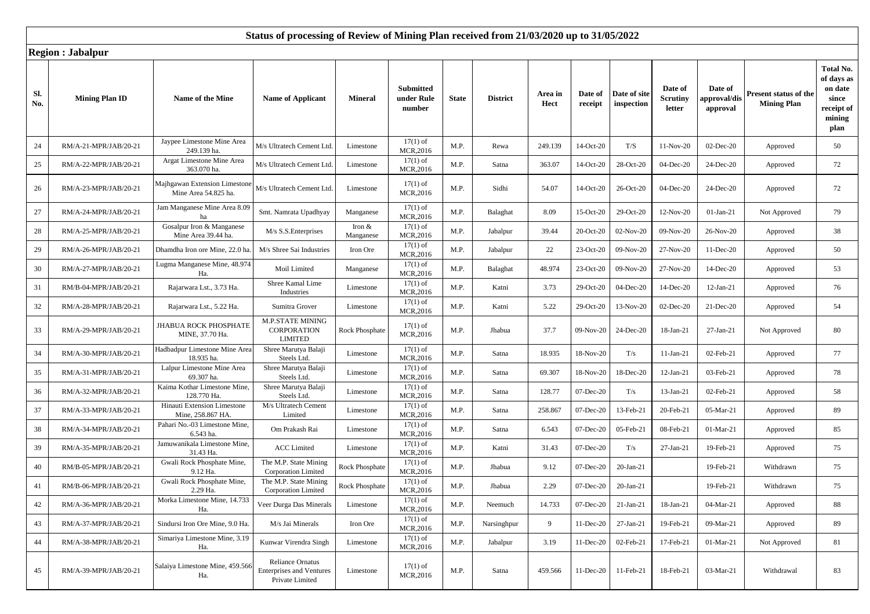|            | $\sim$                |                                                       |                                                                               |                       |                                          |              |                 |                 |                    |                            |                                      |                                     |                                             |                                                                             |
|------------|-----------------------|-------------------------------------------------------|-------------------------------------------------------------------------------|-----------------------|------------------------------------------|--------------|-----------------|-----------------|--------------------|----------------------------|--------------------------------------|-------------------------------------|---------------------------------------------|-----------------------------------------------------------------------------|
| Sl.<br>No. | <b>Mining Plan ID</b> | Name of the Mine                                      | <b>Name of Applicant</b>                                                      | <b>Mineral</b>        | <b>Submitted</b><br>under Rule<br>number | <b>State</b> | <b>District</b> | Area in<br>Hect | Date of<br>receipt | Date of site<br>inspection | Date of<br><b>Scrutiny</b><br>letter | Date of<br>approval/dis<br>approval | Present status of the<br><b>Mining Plan</b> | Total No.<br>of days as<br>on date<br>since<br>receipt of<br>mining<br>plan |
| 24         | RM/A-21-MPR/JAB/20-21 | Jaypee Limestone Mine Area<br>249.139 ha.             | M/s Ultratech Cement Ltd.                                                     | Limestone             | $17(1)$ of<br>MCR, 2016                  | M.P.         | Rewa            | 249.139         | 14-Oct-20          | T/S                        | 11-Nov-20                            | 02-Dec-20                           | Approved                                    | 50                                                                          |
| 25         | RM/A-22-MPR/JAB/20-21 | Argat Limestone Mine Area<br>363.070 ha.              | M/s Ultratech Cement Ltd.                                                     | Limestone             | $17(1)$ of<br>MCR,2016                   | M.P.         | Satna           | 363.07          | 14-Oct-20          | 28-Oct-20                  | 04-Dec-20                            | 24-Dec-20                           | Approved                                    | 72                                                                          |
| 26         | RM/A-23-MPR/JAB/20-21 | Majhgawan Extension Limestone<br>Mine Area 54.825 ha. | M/s Ultratech Cement Ltd.                                                     | Limestone             | $17(1)$ of<br>MCR, 2016                  | M.P.         | Sidhi           | 54.07           | 14-Oct-20          | 26-Oct-20                  | 04-Dec-20                            | 24-Dec-20                           | Approved                                    | 72                                                                          |
| 27         | RM/A-24-MPR/JAB/20-21 | Jam Manganese Mine Area 8.09                          | Smt. Namrata Upadhyay                                                         | Manganese             | $17(1)$ of<br>MCR,2016                   | M.P.         | Balaghat        | 8.09            | 15-Oct-20          | 29-Oct-20                  | 12-Nov-20                            | $01-Jan-21$                         | Not Approved                                | 79                                                                          |
| 28         | RM/A-25-MPR/JAB/20-21 | Gosalpur Iron & Manganese<br>Mine Area 39.44 ha.      | M/s S.S. Enterprises                                                          | Iron $&$<br>Manganese | $17(1)$ of<br>MCR,2016                   | M.P.         | Jabalpur        | 39.44           | 20-Oct-20          | 02-Nov-20                  | 09-Nov-20                            | 26-Nov-20                           | Approved                                    | 38                                                                          |
| 29         | RM/A-26-MPR/JAB/20-21 | Dhamdha Iron ore Mine, 22.0 ha                        | M/s Shree Sai Industries                                                      | Iron Ore              | $17(1)$ of<br>MCR,2016                   | M.P.         | Jabalpur        | 22              | 23-Oct-20          | 09-Nov-20                  | 27-Nov-20                            | 11-Dec-20                           | Approved                                    | 50                                                                          |
| 30         | RM/A-27-MPR/JAB/20-21 | Lugma Manganese Mine, 48.974<br>Ha.                   | Moil Limited                                                                  | Manganese             | $17(1)$ of<br>MCR,2016                   | M.P.         | Balaghat        | 48.974          | 23-Oct-20          | 09-Nov-20                  | 27-Nov-20                            | 14-Dec-20                           | Approved                                    | 53                                                                          |
| 31         | RM/B-04-MPR/JAB/20-21 | Rajarwara Lst., 3.73 Ha.                              | Shree Kamal Lime<br>Industries                                                | Limestone             | $17(1)$ of<br>MCR,2016                   | M.P.         | Katni           | 3.73            | 29-Oct-20          | 04-Dec-20                  | 14-Dec-20                            | 12-Jan-21                           | Approved                                    | 76                                                                          |
| 32         | RM/A-28-MPR/JAB/20-21 | Rajarwara Lst., 5.22 Ha.                              | Sumitra Grover                                                                | Limestone             | $17(1)$ of<br>MCR,2016                   | M.P.         | Katni           | 5.22            | 29-Oct-20          | 13-Nov-20                  | 02-Dec-20                            | 21-Dec-20                           | Approved                                    | 54                                                                          |
| 33         | RM/A-29-MPR/JAB/20-21 | <b>JHABUA ROCK PHOSPHATE</b><br>MINE, 37.70 Ha.       | <b>M.P.STATE MINING</b><br><b>CORPORATION</b><br><b>LIMITED</b>               | <b>Rock Phosphate</b> | $17(1)$ of<br>MCR,2016                   | M.P.         | Jhabua          | 37.7            | 09-Nov-20          | 24-Dec-20                  | 18-Jan-21                            | 27-Jan-21                           | Not Approved                                | 80                                                                          |
| 34         | RM/A-30-MPR/JAB/20-21 | Hadbadpur Limestone Mine Area<br>18.935 ha.           | Shree Marutya Balaji<br>Steels Ltd.                                           | Limestone             | $17(1)$ of<br>MCR,2016                   | M.P.         | Satna           | 18.935          | 18-Nov-20          | T/s                        | $11-Jan-21$                          | 02-Feb-21                           | Approved                                    | 77                                                                          |
| 35         | RM/A-31-MPR/JAB/20-21 | Lalpur Limestone Mine Area<br>69.307 ha.              | Shree Marutya Balaji<br>Steels Ltd.                                           | Limestone             | $17(1)$ of<br>MCR, 2016                  | M.P.         | Satna           | 69.307          | 18-Nov-20          | 18-Dec-20                  | $12-Jan-21$                          | 03-Feb-21                           | Approved                                    | 78                                                                          |
| 36         | RM/A-32-MPR/JAB/20-21 | Kaima Kothar Limestone Mine.<br>128.770 Ha.           | Shree Marutya Balaji<br>Steels Ltd.                                           | Limestone             | $17(1)$ of<br>MCR,2016                   | M.P.         | Satna           | 128.77          | 07-Dec-20          | T/s                        | 13-Jan-21                            | 02-Feb-21                           | Approved                                    | 58                                                                          |
| 37         | RM/A-33-MPR/JAB/20-21 | Hinauti Extension Limestone<br>Mine, 258.867 HA.      | M/s Ultratech Cement<br>Limited                                               | Limestone             | $17(1)$ of<br>MCR,2016                   | M.P.         | Satna           | 258.867         | 07-Dec-20          | 13-Feb-21                  | 20-Feb-21                            | 05-Mar-21                           | Approved                                    | 89                                                                          |
| 38         | RM/A-34-MPR/JAB/20-21 | Pahari No.-03 Limestone Mine,<br>6.543 ha.            | Om Prakash Rai                                                                | Limestone             | $17(1)$ of<br>MCR,2016                   | M.P.         | Satna           | 6.543           | 07-Dec-20          | 05-Feb-21                  | 08-Feb-21                            | 01-Mar-21                           | Approved                                    | 85                                                                          |
| 39         | RM/A-35-MPR/JAB/20-21 | Jamuwanikala Limestone Mine,<br>31.43 Ha.             | <b>ACC</b> Limited                                                            | Limestone             | $17(1)$ of<br>MCR,2016                   | M.P.         | Katni           | 31.43           | 07-Dec-20          | T/s                        | 27-Jan-21                            | 19-Feb-21                           | Approved                                    | 75                                                                          |
| 40         | RM/B-05-MPR/JAB/20-21 | Gwali Rock Phosphate Mine,<br>9.12 Ha.                | The M.P. State Mining<br><b>Corporation Limited</b>                           | <b>Rock Phosphate</b> | $17(1)$ of<br>MCR,2016                   | M.P.         | Jhabua          | 9.12            | 07-Dec-20          | 20-Jan-21                  |                                      | 19-Feb-21                           | Withdrawn                                   | 75                                                                          |
| 41         | RM/B-06-MPR/JAB/20-21 | Gwali Rock Phosphate Mine,<br>2.29 Ha.                | The M.P. State Mining<br><b>Corporation Limited</b>                           | <b>Rock Phosphate</b> | $17(1)$ of<br>MCR,2016                   | M.P.         | Jhabua          | 2.29            | 07-Dec-20          | 20-Jan-21                  |                                      | 19-Feb-21                           | Withdrawn                                   | 75                                                                          |
| 42         | RM/A-36-MPR/JAB/20-21 | Morka Limestone Mine, 14.733<br>Ha.                   | Veer Durga Das Minerals                                                       | Limestone             | $17(1)$ of<br>MCR, 2016                  | M.P.         | Neemuch         | 14.733          | 07-Dec-20          | $21-Ian-21$                | 18-Jan-21                            | 04-Mar-21                           | Approved                                    | 88                                                                          |
| 43         | RM/A-37-MPR/JAB/20-21 | Sindursi Iron Ore Mine, 9.0 Ha.                       | M/s Jai Minerals                                                              | Iron Ore              | $17(1)$ of<br>MCR,2016                   | M.P.         | Narsinghpur     | 9               | 11-Dec-20          | 27-Jan-21                  | 19-Feb-21                            | 09-Mar-21                           | Approved                                    | 89                                                                          |
| 44         | RM/A-38-MPR/JAB/20-21 | Simariya Limestone Mine, 3.19<br>Ha.                  | Kunwar Virendra Singh                                                         | Limestone             | $17(1)$ of<br>MCR,2016                   | M.P.         | Jabalpur        | 3.19            | 11-Dec-20          | 02-Feb-21                  | 17-Feb-21                            | 01-Mar-21                           | Not Approved                                | 81                                                                          |
| 45         | RM/A-39-MPR/JAB/20-21 | Salaiya Limestone Mine, 459.566<br>Ha.                | <b>Reliance Ornatus</b><br><b>Enterprises and Ventures</b><br>Private Limited | Limestone             | $17(1)$ of<br>MCR,2016                   | M.P.         | Satna           | 459.566         | 11-Dec-20          | 11-Feb-21                  | 18-Feb-21                            | 03-Mar-21                           | Withdrawal                                  | 83                                                                          |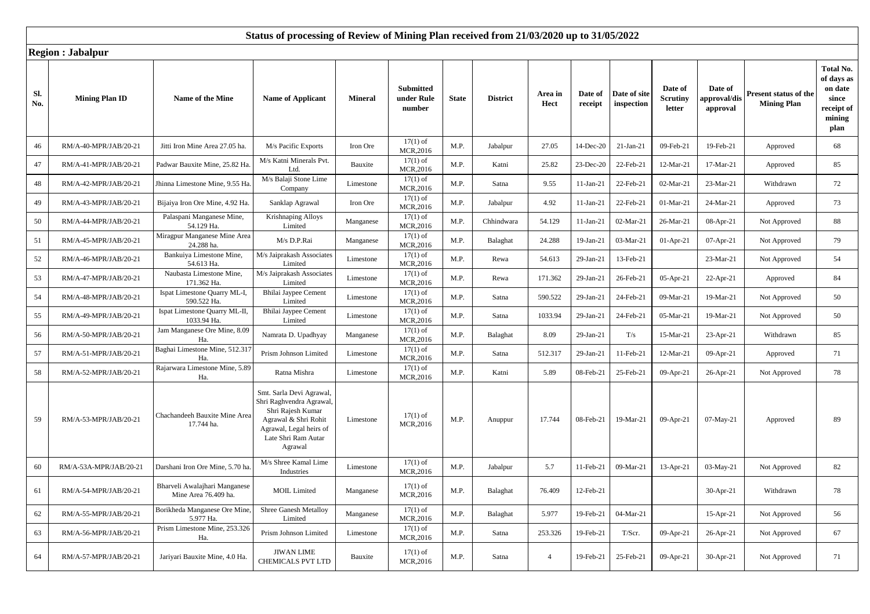|            | $\ldots$               |                                                       |                                                                                                                                                                |                |                                          |              |                 |                 |                    |                            |                                      |                                     |                                                    |                                                                             |
|------------|------------------------|-------------------------------------------------------|----------------------------------------------------------------------------------------------------------------------------------------------------------------|----------------|------------------------------------------|--------------|-----------------|-----------------|--------------------|----------------------------|--------------------------------------|-------------------------------------|----------------------------------------------------|-----------------------------------------------------------------------------|
| Sl.<br>No. | <b>Mining Plan ID</b>  | Name of the Mine                                      | <b>Name of Applicant</b>                                                                                                                                       | <b>Mineral</b> | <b>Submitted</b><br>under Rule<br>number | <b>State</b> | <b>District</b> | Area in<br>Hect | Date of<br>receipt | Date of site<br>inspection | Date of<br><b>Scrutiny</b><br>letter | Date of<br>approval/dis<br>approval | <b>Present status of the</b><br><b>Mining Plan</b> | Total No.<br>of days as<br>on date<br>since<br>receipt of<br>mining<br>plan |
| 46         | RM/A-40-MPR/JAB/20-21  | Jitti Iron Mine Area 27.05 ha.                        | M/s Pacific Exports                                                                                                                                            | Iron Ore       | $17(1)$ of<br>MCR, 2016                  | M.P.         | Jabalpur        | 27.05           | 14-Dec-20          | $21-Jan-21$                | 09-Feb-21                            | 19-Feb-21                           | Approved                                           | 68                                                                          |
| 47         | RM/A-41-MPR/JAB/20-21  | Padwar Bauxite Mine, 25.82 Ha                         | M/s Katni Minerals Pvt.<br>Ltd.                                                                                                                                | Bauxite        | $17(1)$ of<br>MCR,2016                   | M.P.         | Katni           | 25.82           | 23-Dec-20          | 22-Feb-21                  | 12-Mar-21                            | 17-Mar-21                           | Approved                                           | 85                                                                          |
| $48\,$     | RM/A-42-MPR/JAB/20-21  | Jhinna Limestone Mine, 9.55 Ha                        | M/s Balaji Stone Lime<br>Company                                                                                                                               | Limestone      | $17(1)$ of<br>MCR, 2016                  | M.P.         | Satna           | 9.55            | $11-Jan-21$        | 22-Feb-21                  | 02-Mar-21                            | 23-Mar-21                           | Withdrawn                                          | 72                                                                          |
| 49         | RM/A-43-MPR/JAB/20-21  | Bijaiya Iron Ore Mine, 4.92 Ha.                       | Sanklap Agrawal                                                                                                                                                | Iron Ore       | $17(1)$ of<br>MCR,2016                   | M.P.         | Jabalpur        | 4.92            | $11-Jan-21$        | 22-Feb-21                  | 01-Mar-21                            | 24-Mar-21                           | Approved                                           | 73                                                                          |
| 50         | RM/A-44-MPR/JAB/20-21  | Palaspani Manganese Mine,<br>54.129 Ha.               | Krishnaping Alloys<br>Limited                                                                                                                                  | Manganese      | $17(1)$ of<br>MCR,2016                   | M.P.         | Chhindwara      | 54.129          | $11-Jan-21$        | 02-Mar-21                  | 26-Mar-21                            | 08-Apr-21                           | Not Approved                                       | 88                                                                          |
| 51         | RM/A-45-MPR/JAB/20-21  | Miragpur Manganese Mine Area<br>24.288 ha.            | M/s D.P.Rai                                                                                                                                                    | Manganese      | $17(1)$ of<br>MCR, 2016                  | M.P.         | Balaghat        | 24.288          | 19-Jan-21          | 03-Mar-21                  | $01-Apr-21$                          | 07-Apr-21                           | Not Approved                                       | 79                                                                          |
| 52         | RM/A-46-MPR/JAB/20-21  | Bankuiya Limestone Mine,<br>54.613 Ha.                | M/s Jaiprakash Associates<br>Limited                                                                                                                           | Limestone      | $17(1)$ of<br>MCR,2016                   | M.P.         | Rewa            | 54.613          | 29-Jan-21          | 13-Feb-21                  |                                      | 23-Mar-21                           | Not Approved                                       | 54                                                                          |
| 53         | RM/A-47-MPR/JAB/20-21  | Naubasta Limestone Mine,<br>171.362 Ha.               | M/s Jaiprakash Associates<br>Limited                                                                                                                           | Limestone      | $17(1)$ of<br>MCR,2016                   | M.P.         | Rewa            | 171.362         | 29-Jan-21          | 26-Feb-21                  | 05-Apr-21                            | 22-Apr-21                           | Approved                                           | 84                                                                          |
| 54         | RM/A-48-MPR/JAB/20-21  | Ispat Limestone Quarry ML-I,<br>590.522 Ha.           | Bhilai Jaypee Cement<br>Limited                                                                                                                                | Limestone      | $17(1)$ of<br>MCR,2016                   | M.P.         | Satna           | 590.522         | 29-Jan-21          | 24-Feb-21                  | 09-Mar-21                            | 19-Mar-21                           | Not Approved                                       | 50                                                                          |
| 55         | RM/A-49-MPR/JAB/20-21  | Ispat Limestone Quarry ML-II<br>1033.94 Ha.           | Bhilai Jaypee Cement<br>Limited                                                                                                                                | Limestone      | $17(1)$ of<br>MCR,2016                   | M.P.         | Satna           | 1033.94         | 29-Jan-21          | 24-Feb-21                  | 05-Mar-21                            | 19-Mar-21                           | Not Approved                                       | 50                                                                          |
| 56         | RM/A-50-MPR/JAB/20-21  | Jam Manganese Ore Mine, 8.09<br>Ha.                   | Namrata D. Upadhyay                                                                                                                                            | Manganese      | $17(1)$ of<br>MCR, 2016                  | M.P.         | Balaghat        | 8.09            | 29-Jan-21          | T/s                        | 15-Mar-21                            | 23-Apr-21                           | Withdrawn                                          | 85                                                                          |
| 57         | RM/A-51-MPR/JAB/20-21  | Baghai Limestone Mine, 512.317<br>Ha.                 | Prism Johnson Limited                                                                                                                                          | Limestone      | $17(1)$ of<br>MCR,2016                   | M.P.         | Satna           | 512.317         | 29-Jan-21          | 11-Feb-21                  | 12-Mar-21                            | 09-Apr-21                           | Approved                                           | 71                                                                          |
| 58         | RM/A-52-MPR/JAB/20-21  | Rajarwara Limestone Mine, 5.89<br>Ha.                 | Ratna Mishra                                                                                                                                                   | Limestone      | $17(1)$ of<br>MCR, 2016                  | M.P.         | Katni           | 5.89            | 08-Feb-21          | 25-Feb-21                  | 09-Apr-21                            | 26-Apr-21                           | Not Approved                                       | 78                                                                          |
| 59         | RM/A-53-MPR/JAB/20-21  | Chachandeeh Bauxite Mine Area<br>17.744 ha.           | Smt. Sarla Devi Agrawal,<br>Shri Raghvendra Agrawal,<br>Shri Rajesh Kumar<br>Agrawal & Shri Rohit<br>Agrawal, Legal heirs of<br>Late Shri Ram Autar<br>Agrawal | Limestone      | $17(1)$ of<br>MCR,2016                   | M.P.         | Anuppur         | 17.744          | 08-Feb-21          | 19-Mar-21                  | 09-Apr-21                            | 07-May-21                           | Approved                                           | 89                                                                          |
| 60         | RM/A-53A-MPR/JAB/20-21 | Darshani Iron Ore Mine, 5.70 ha                       | M/s Shree Kamal Lime<br>Industries                                                                                                                             | Limestone      | $17(1)$ of<br>MCR,2016                   | M.P.         | Jabalpur        | 5.7             | 11-Feb-21          | 09-Mar-21                  | $13-Apr-21$                          | 03-May-21                           | Not Approved                                       | 82                                                                          |
| 61         | RM/A-54-MPR/JAB/20-21  | Bharveli Awalajhari Manganese<br>Mine Area 76.409 ha. | <b>MOIL</b> Limited                                                                                                                                            | Manganese      | $17(1)$ of<br>MCR,2016                   | M.P.         | Balaghat        | 76.409          | 12-Feb-21          |                            |                                      | 30-Apr-21                           | Withdrawn                                          | 78                                                                          |
| 62         | RM/A-55-MPR/JAB/20-21  | Borikheda Manganese Ore Mine.<br>5.977 Ha.            | Shree Ganesh Metalloy<br>Limited                                                                                                                               | Manganese      | $17(1)$ of<br>MCR,2016                   | M.P.         | Balaghat        | 5.977           | 19-Feb-21          | 04-Mar-21                  |                                      | 15-Apr-21                           | Not Approved                                       | 56                                                                          |
| 63         | RM/A-56-MPR/JAB/20-21  | Prism Limestone Mine, 253.326<br>Ha.                  | Prism Johnson Limited                                                                                                                                          | Limestone      | $17(1)$ of<br>MCR,2016                   | M.P.         | Satna           | 253.326         | 19-Feb-21          | T/Scr.                     | 09-Apr-21                            | 26-Apr-21                           | Not Approved                                       | 67                                                                          |
| 64         | RM/A-57-MPR/JAB/20-21  | Jariyari Bauxite Mine, 4.0 Ha.                        | <b>JIWAN LIME</b><br><b>CHEMICALS PVT LTD</b>                                                                                                                  | Bauxite        | $17(1)$ of<br>MCR, 2016                  | M.P.         | Satna           | $\overline{4}$  | 19-Feb-21          | 25-Feb-21                  | $09-Apr-21$                          | $30-Apr-21$                         | Not Approved                                       | 71                                                                          |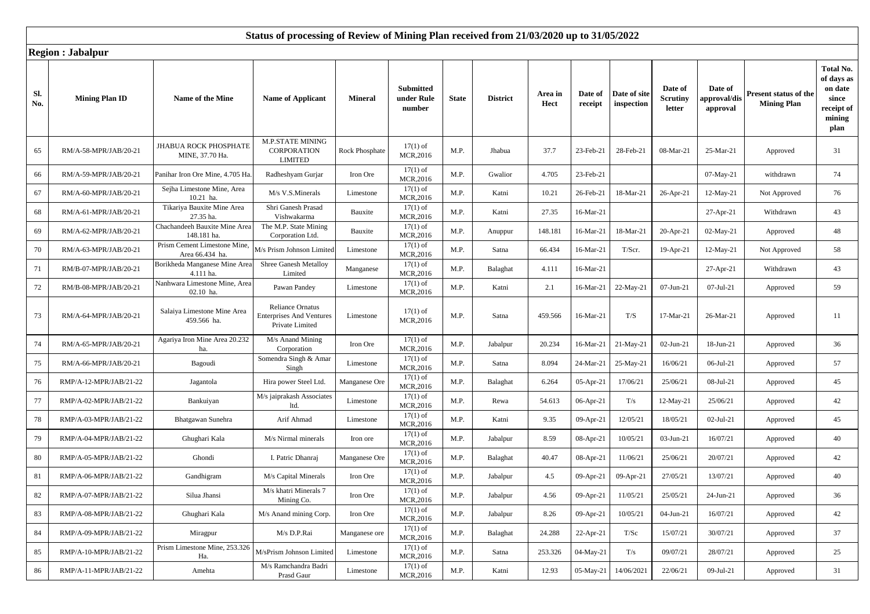|            | $\ldots$               |                                                |                                                                               |                |                                          |              |                 |                 |                    |                            |                                      |                                            |                                             |                                                                             |
|------------|------------------------|------------------------------------------------|-------------------------------------------------------------------------------|----------------|------------------------------------------|--------------|-----------------|-----------------|--------------------|----------------------------|--------------------------------------|--------------------------------------------|---------------------------------------------|-----------------------------------------------------------------------------|
| Sl.<br>No. | <b>Mining Plan ID</b>  | Name of the Mine                               | <b>Name of Applicant</b>                                                      | <b>Mineral</b> | <b>Submitted</b><br>under Rule<br>number | <b>State</b> | <b>District</b> | Area in<br>Hect | Date of<br>receipt | Date of site<br>inspection | Date of<br><b>Scrutiny</b><br>letter | Date of<br><b>approval/dis</b><br>approval | Present status of the<br><b>Mining Plan</b> | Total No.<br>of days as<br>on date<br>since<br>receipt of<br>mining<br>plan |
| 65         | RM/A-58-MPR/JAB/20-21  | JHABUA ROCK PHOSPHATE<br>MINE, 37.70 Ha.       | <b>M.P.STATE MINING</b><br><b>CORPORATION</b><br><b>LIMITED</b>               | Rock Phosphate | $17(1)$ of<br>MCR,2016                   | M.P.         | Jhabua          | 37.7            | 23-Feb-21          | 28-Feb-21                  | 08-Mar-21                            | 25-Mar-21                                  | Approved                                    | 31                                                                          |
| 66         | RM/A-59-MPR/JAB/20-21  | Panihar Iron Ore Mine, 4.705 Ha                | Radheshyam Gurjar                                                             | Iron Ore       | $17(1)$ of<br>MCR,2016                   | M.P.         | Gwalior         | 4.705           | 23-Feb-21          |                            |                                      | 07-May-21                                  | withdrawn                                   | 74                                                                          |
| 67         | RM/A-60-MPR/JAB/20-21  | Sejha Limestone Mine, Area<br>10.21 ha.        | M/s V.S.Minerals                                                              | Limestone      | $17(1)$ of<br>MCR,2016                   | M.P.         | Katni           | 10.21           | 26-Feb-21          | 18-Mar-21                  | 26-Apr-21                            | 12-May-21                                  | Not Approved                                | 76                                                                          |
| 68         | RM/A-61-MPR/JAB/20-21  | Tikariya Bauxite Mine Area<br>27.35 ha.        | Shri Ganesh Prasad<br>Vishwakarma                                             | Bauxite        | $17(1)$ of<br>MCR,2016                   | M.P.         | Katni           | 27.35           | 16-Mar-21          |                            |                                      | $27-Apr-21$                                | Withdrawn                                   | 43                                                                          |
| 69         | RM/A-62-MPR/JAB/20-21  | Chachandeeh Bauxite Mine Area<br>148.181 ha.   | The M.P. State Mining<br>Corporation Ltd.                                     | Bauxite        | $17(1)$ of<br>MCR,2016                   | M.P.         | Anuppur         | 148.181         | 16-Mar-21          | 18-Mar-21                  | 20-Apr-21                            | 02-May-21                                  | Approved                                    | 48                                                                          |
| 70         | RM/A-63-MPR/JAB/20-21  | Prism Cement Limestone Mine,<br>Area 66.434 ha | M/s Prism Johnson Limited                                                     | Limestone      | $17(1)$ of<br>MCR,2016                   | M.P.         | Satna           | 66.434          | 16-Mar-21          | T/Scr.                     | 19-Apr-21                            | 12-May-21                                  | Not Approved                                | 58                                                                          |
| 71         | RM/B-07-MPR/JAB/20-21  | Borikheda Manganese Mine Area<br>4.111 ha.     | <b>Shree Ganesh Metalloy</b><br>Limited                                       | Manganese      | $17(1)$ of<br>MCR,2016                   | M.P.         | Balaghat        | 4.111           | 16-Mar-21          |                            |                                      | 27-Apr-21                                  | Withdrawn                                   | 43                                                                          |
| 72         | RM/B-08-MPR/JAB/20-21  | Nanhwara Limestone Mine, Area<br>02.10 ha      | Pawan Pandey                                                                  | Limestone      | $17(1)$ of<br>MCR,2016                   | M.P.         | Katni           | 2.1             | 16-Mar-21          | 22-May-21                  | $07$ -Jun-21                         | $07-Jul-21$                                | Approved                                    | 59                                                                          |
| 73         | RM/A-64-MPR/JAB/20-21  | Salaiya Limestone Mine Area<br>459.566 ha.     | <b>Reliance Ornatus</b><br><b>Enterprises And Ventures</b><br>Private Limited | Limestone      | $17(1)$ of<br>MCR,2016                   | M.P.         | Satna           | 459.566         | 16-Mar-21          | T/S                        | 17-Mar-21                            | 26-Mar-21                                  | Approved                                    | 11                                                                          |
| 74         | RM/A-65-MPR/JAB/20-21  | Agariya Iron Mine Area 20.232<br>ha.           | M/s Anand Mining<br>Corporation                                               | Iron Ore       | $17(1)$ of<br>MCR,2016                   | M.P.         | Jabalpur        | 20.234          | 16-Mar-21          | $21-May-21$                | $02$ -Jun-21                         | 18-Jun-21                                  | Approved                                    | 36                                                                          |
| 75         | RM/A-66-MPR/JAB/20-21  | Bagoudi                                        | Somendra Singh & Amar<br>Singh                                                | Limestone      | $17(1)$ of<br>MCR,2016                   | M.P.         | Satna           | 8.094           | 24-Mar-21          | 25-May-21                  | 16/06/21                             | 06-Jul-21                                  | Approved                                    | 57                                                                          |
| 76         | RMP/A-12-MPR/JAB/21-22 | Jagantola                                      | Hira power Steel Ltd.                                                         | Manganese Ore  | $17(1)$ of<br>MCR,2016                   | M.P.         | Balaghat        | 6.264           | 05-Apr-21          | 17/06/21                   | 25/06/21                             | 08-Jul-21                                  | Approved                                    | 45                                                                          |
| 77         | RMP/A-02-MPR/JAB/21-22 | Bankuiyan                                      | M/s jaiprakash Associates<br>ltd.                                             | Limestone      | $17(1)$ of<br>MCR,2016                   | M.P.         | Rewa            | 54.613          | 06-Apr-21          | T/s                        | 12-May-21                            | 25/06/21                                   | Approved                                    | 42                                                                          |
| 78         | RMP/A-03-MPR/JAB/21-22 | Bhatgawan Sunehra                              | Arif Ahmad                                                                    | Limestone      | $17(1)$ of<br>MCR,2016                   | M.P.         | Katni           | 9.35            | 09-Apr-21          | 12/05/21                   | 18/05/21                             | $02-Jul-21$                                | Approved                                    | 45                                                                          |
| 79         | RMP/A-04-MPR/JAB/21-22 | Ghughari Kala                                  | M/s Nirmal minerals                                                           | Iron ore       | $17(1)$ of<br>MCR,2016                   | M.P.         | Jabalpur        | 8.59            | 08-Apr-21          | 10/05/21                   | 03-Jun-21                            | 16/07/21                                   | Approved                                    | 40                                                                          |
| 80         | RMP/A-05-MPR/JAB/21-22 | Ghondi                                         | I. Patric Dhanraj                                                             | Manganese Ore  | $17(1)$ of<br>MCR,2016                   | M.P.         | Balaghat        | 40.47           | 08-Apr-21          | 11/06/21                   | 25/06/21                             | 20/07/21                                   | Approved                                    | 42                                                                          |
| 81         | RMP/A-06-MPR/JAB/21-22 | Gandhigram                                     | M/s Capital Minerals                                                          | Iron Ore       | $17(1)$ of<br>MCR,2016                   | M.P.         | Jabalpur        | 4.5             | 09-Apr-21          | 09-Apr-21                  | 27/05/21                             | 13/07/21                                   | Approved                                    | 40                                                                          |
| 82         | RMP/A-07-MPR/JAB/21-22 | Silua Jhansi                                   | M/s khatri Minerals 7<br>Mining Co.                                           | Iron Ore       | $17(1)$ of<br>MCR,2016                   | M.P.         | Jabalpur        | 4.56            | 09-Apr-21          | 11/05/21                   | 25/05/21                             | 24-Jun-21                                  | Approved                                    | 36                                                                          |
| 83         | RMP/A-08-MPR/JAB/21-22 | Ghughari Kala                                  | M/s Anand mining Corp.                                                        | Iron Ore       | $17(1)$ of<br>MCR,2016                   | M.P.         | Jabalpur        | 8.26            | 09-Apr-21          | 10/05/21                   | 04-Jun-21                            | 16/07/21                                   | Approved                                    | 42                                                                          |
| 84         | RMP/A-09-MPR/JAB/21-22 | Miragpur                                       | M/s D.P.Rai                                                                   | Manganese ore  | $17(1)$ of<br>MCR,2016                   | M.P.         | Balaghat        | 24.288          | 22-Apr-21          | T/Sc                       | 15/07/21                             | 30/07/21                                   | Approved                                    | 37                                                                          |
| 85         | RMP/A-10-MPR/JAB/21-22 | Prism Limestone Mine, 253.326<br>Ha.           | M/sPrism Johnson Limited                                                      | Limestone      | $17(1)$ of<br>MCR,2016                   | M.P.         | Satna           | 253.326         | 04-May-21          | T/s                        | 09/07/21                             | 28/07/21                                   | Approved                                    | 25                                                                          |
| 86         | RMP/A-11-MPR/JAB/21-22 | Amehta                                         | M/s Ramchandra Badri<br>Prasd Gaur                                            | Limestone      | $17(1)$ of<br>MCR,2016                   | M.P.         | Katni           | 12.93           | 05-May-21          | 14/06/2021                 | 22/06/21                             | 09-Jul-21                                  | Approved                                    | 31                                                                          |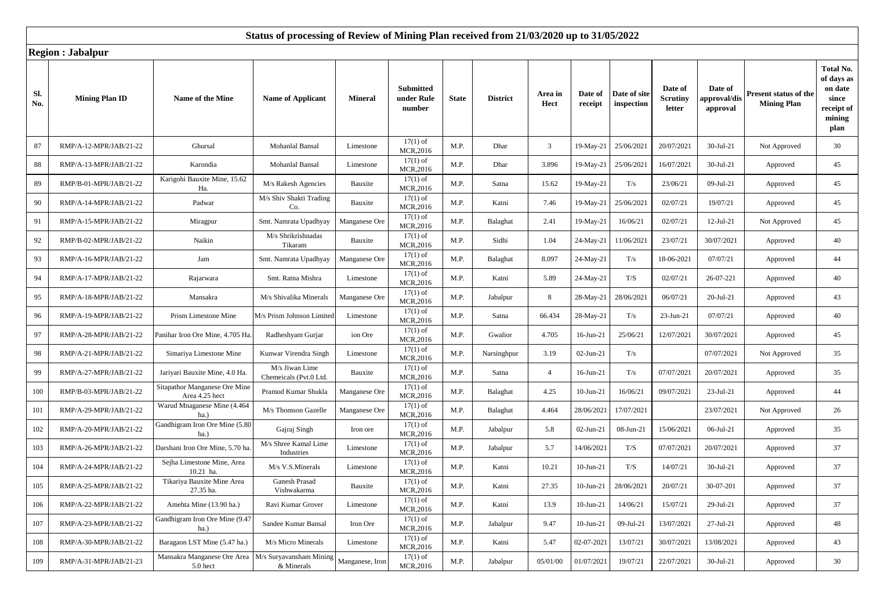|            | $\ldots$               |                                                 |                                          |                 |                                          |              |                 |                 |                    |                            |                                      |                                     |                                             |                                                                             |
|------------|------------------------|-------------------------------------------------|------------------------------------------|-----------------|------------------------------------------|--------------|-----------------|-----------------|--------------------|----------------------------|--------------------------------------|-------------------------------------|---------------------------------------------|-----------------------------------------------------------------------------|
| Sl.<br>No. | <b>Mining Plan ID</b>  | Name of the Mine                                | <b>Name of Applicant</b>                 | <b>Mineral</b>  | <b>Submitted</b><br>under Rule<br>number | <b>State</b> | <b>District</b> | Area in<br>Hect | Date of<br>receipt | Date of site<br>inspection | Date of<br><b>Scrutiny</b><br>letter | Date of<br>approval/di:<br>approval | Present status of the<br><b>Mining Plan</b> | Total No.<br>of days as<br>on date<br>since<br>receipt of<br>mining<br>plan |
| 87         | RMP/A-12-MPR/JAB/21-22 | Ghursal                                         | Mohanlal Bansal                          | Limestone       | $17(1)$ of<br>MCR,2016                   | M.P.         | Dhar            | $\mathfrak{Z}$  | 19-May-21          | 25/06/2021                 | 20/07/2021                           | 30-Jul-21                           | Not Approved                                | 30                                                                          |
| 88         | RMP/A-13-MPR/JAB/21-22 | Karondia                                        | Mohanlal Bansal                          | Limestone       | $17(1)$ of<br>MCR, 2016                  | M.P.         | Dhar            | 3.896           | 19-May-21          | 25/06/2021                 | 16/07/2021                           | 30-Jul-21                           | Approved                                    | 45                                                                          |
| 89         | RMP/B-01-MPR/JAB/21-22 | Karigohi Bauxite Mine, 15.62<br>Ha.             | M/s Rakesh Agencies                      | Bauxite         | $17(1)$ of<br>MCR,2016                   | M.P.         | Satna           | 15.62           | 19-May-21          | T/s                        | 23/06/21                             | 09-Jul-21                           | Approved                                    | 45                                                                          |
| 90         | RMP/A-14-MPR/JAB/21-22 | Padwar                                          | M/s Shiv Shakti Trading<br>Co.           | Bauxite         | $17(1)$ of<br>MCR, 2016                  | M.P.         | Katni           | 7.46            | 19-May-21          | 25/06/2021                 | 02/07/21                             | 19/07/21                            | Approved                                    | 45                                                                          |
| 91         | RMP/A-15-MPR/JAB/21-22 | Miragpur                                        | Smt. Namrata Upadhyay                    | Manganese Ore   | $17(1)$ of<br>MCR,2016                   | M.P.         | Balaghat        | 2.41            | 19-May-21          | 16/06/21                   | 02/07/21                             | $12-Jul-21$                         | Not Approved                                | 45                                                                          |
| 92         | RMP/B-02-MPR/JAB/21-22 | Naikin                                          | M/s Shrikrishnadas<br>Tikaram            | Bauxite         | $17(1)$ of<br>MCR,2016                   | M.P.         | Sidhi           | 1.04            | 24-May-21          | 11/06/2021                 | 23/07/21                             | 30/07/2021                          | Approved                                    | 40                                                                          |
| 93         | RMP/A-16-MPR/JAB/21-22 | Jam                                             | Smt. Namrata Upadhyay                    | Manganese Ore   | $17(1)$ of<br>MCR,2016                   | M.P.         | Balaghat        | 8.097           | 24-May-21          | T/s                        | 18-06-2021                           | 07/07/21                            | Approved                                    | 44                                                                          |
| 94         | RMP/A-17-MPR/JAB/21-22 | Rajarwara                                       | Smt. Ratna Mishra                        | Limestone       | $17(1)$ of<br>MCR,2016                   | M.P.         | Katni           | 5.89            | 24-May-21          | T/S                        | 02/07/21                             | 26-07-221                           | Approved                                    | 40                                                                          |
| 95         | RMP/A-18-MPR/JAB/21-22 | Mansakra                                        | M/s Shivalika Minerals                   | Manganese Ore   | $17(1)$ of<br>MCR,2016                   | M.P.         | Jabalpur        | 8               | 28-May-21          | 28/06/2021                 | 06/07/21                             | $20$ -Jul-21                        | Approved                                    | 43                                                                          |
| 96         | RMP/A-19-MPR/JAB/21-22 | Prism Limestone Mine                            | M/s Prism Johnson Limited                | Limestone       | $17(1)$ of<br>MCR,2016                   | M.P.         | Satna           | 66.434          | 28-May-21          | T/s                        | 23-Jun-21                            | 07/07/21                            | Approved                                    | 40                                                                          |
| 97         | RMP/A-28-MPR/JAB/21-22 | Panihar Iron Ore Mine, 4.705 Ha                 | Radheshyam Gurjar                        | ion Ore         | $17(1)$ of<br>MCR,2016                   | M.P.         | Gwalior         | 4.705           | $16$ -Jun-21       | 25/06/21                   | 12/07/2021                           | 30/07/2021                          | Approved                                    | 45                                                                          |
| 98         | RMP/A-21-MPR/JAB/21-22 | Simariya Limestone Mine                         | Kunwar Virendra Singh                    | Limestone       | $17(1)$ of<br>MCR,2016                   | M.P.         | Narsinghpur     | 3.19            | $02$ -Jun-21       | T/s                        |                                      | 07/07/2021                          | Not Approved                                | 35                                                                          |
| 99         | RMP/A-27-MPR/JAB/21-22 | Jariyari Bauxite Mine, 4.0 Ha.                  | M/s Jiwan Lime<br>Chemeicals (Pvt.0 Ltd. | Bauxite         | $17(1)$ of<br>MCR,2016                   | M.P.         | Satna           | $\overline{4}$  | 16-Jun-21          | T/s                        | 07/07/2021                           | 20/07/2021                          | Approved                                    | 35                                                                          |
| 100        | RMP/B-03-MPR/JAB/21-22 | Sitapathor Manganese Ore Mine<br>Area 4.25 hect | Pramod Kumar Shukla                      | Manganese Ore   | $17(1)$ of<br>MCR,2016                   | M.P.         | Balaghat        | 4.25            | $10-Jun-21$        | 16/06/21                   | 09/07/2021                           | 23-Jul-21                           | Approved                                    | 44                                                                          |
| 101        | RMP/A-29-MPR/JAB/21-22 | Warud Mnaganese Mine (4.464<br>ha.)             | M/s Thomson Gazelle                      | Manganese Ore   | $17(1)$ of<br>MCR,2016                   | M.P.         | Balaghat        | 4.464           | 28/06/2021         | 17/07/2021                 |                                      | 23/07/2021                          | Not Approved                                | 26                                                                          |
| 102        | RMP/A-20-MPR/JAB/21-22 | Gandhigram Iron Ore Mine (5.80<br>ha.)          | Gajraj Singh                             | Iron ore        | $17(1)$ of<br>MCR,2016                   | M.P.         | Jabalpur        | 5.8             | $02$ -Jun-21       | $08-Jun-21$                | 15/06/2021                           | 06-Jul-21                           | Approved                                    | 35                                                                          |
| 103        | RMP/A-26-MPR/JAB/21-22 | Darshani Iron Ore Mine, 5.70 ha                 | M/s Shree Kamal Lime<br>Industries       | Limestone       | $17(1)$ of<br>MCR,2016                   | M.P.         | Jabalpur        | 5.7             | 14/06/2021         | T/S                        | 07/07/2021                           | 20/07/2021                          | Approved                                    | 37                                                                          |
| 104        | RMP/A-24-MPR/JAB/21-22 | Sejha Limestone Mine, Area<br>10.21 ha.         | M/s V.S.Minerals                         | Limestone       | $17(1)$ of<br>MCR,2016                   | M.P.         | Katni           | 10.21           | $10-Jun-21$        | T/S                        | 14/07/21                             | 30-Jul-21                           | Approved                                    | 37                                                                          |
| 105        | RMP/A-25-MPR/JAB/21-22 | Tikariya Bauxite Mine Area<br>27.35 ha.         | Ganesh Prasad<br>Vishwakarma             | Bauxite         | $17(1)$ of<br>MCR,2016                   | M.P.         | Katni           | 27.35           | $10-Jun-21$        | 28/06/2021                 | 20/07/21                             | 30-07-201                           | Approved                                    | 37                                                                          |
| 106        | RMP/A-22-MPR/JAB/21-22 | Amehta Mine (13.90 ha.)                         | Ravi Kumar Grover                        | Limestone       | $17(1)$ of<br>MCR,2016                   | M.P.         | Katni           | 13.9            | $10$ -Jun- $21$    | 14/06/21                   | 15/07/21                             | 29-Jul-21                           | Approved                                    | 37                                                                          |
| 107        | RMP/A-23-MPR/JAB/21-22 | Gandhigram Iron Ore Mine (9.47<br>ha.)          | Sandee Kumar Bansal                      | Iron Ore        | $17(1)$ of<br>MCR, 2016                  | M.P.         | Jabalpur        | 9.47            | $10-Jun-21$        | 09-Jul-21                  | 13/07/2021                           | $27-Jul-21$                         | Approved                                    | 48                                                                          |
| 108        | RMP/A-30-MPR/JAB/21-22 | Baragaon LST Mine (5.47 ha.)                    | M/s Micro Minerals                       | Limestone       | $17(1)$ of<br>MCR,2016                   | M.P.         | Katni           | 5.47            | 02-07-2021         | 13/07/21                   | 30/07/2021                           | 13/08/2021                          | Approved                                    | 43                                                                          |
| 109        | RMP/A-31-MPR/JAB/21-23 | Mansakra Manganese Ore Area<br>5.0 hect         | M/s Suryavansham Mining<br>& Minerals    | Manganese, Iron | $17(1)$ of<br>MCR,2016                   | M.P.         | Jabalpur        | 05/01/00        | 01/07/2021         | 19/07/21                   | 22/07/2021                           | 30-Jul-21                           | Approved                                    | 30                                                                          |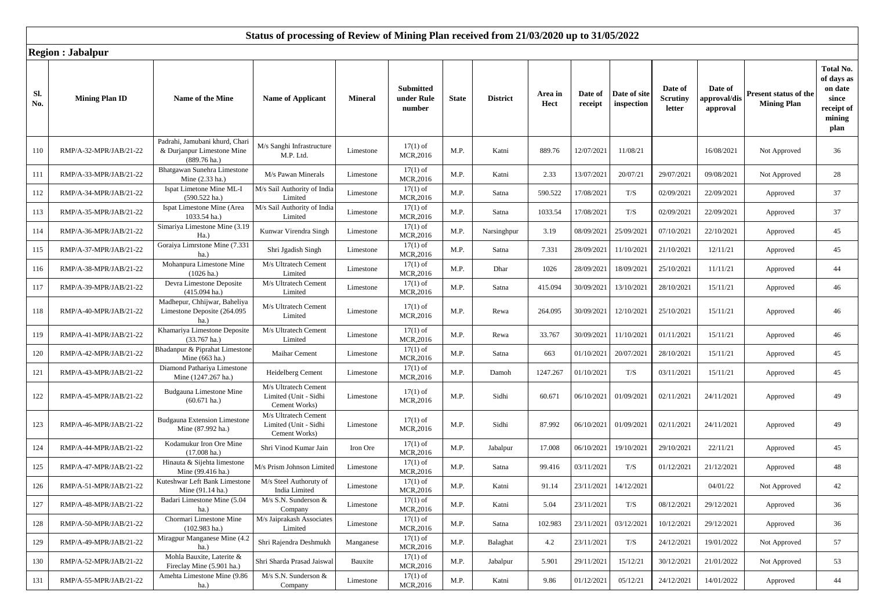|            | iwgion , oabaipui      |                                                                                        |                                                                |                |                                          |              |                 |                 |                    |                            |                                      |                                           |                                             |                                                                             |
|------------|------------------------|----------------------------------------------------------------------------------------|----------------------------------------------------------------|----------------|------------------------------------------|--------------|-----------------|-----------------|--------------------|----------------------------|--------------------------------------|-------------------------------------------|---------------------------------------------|-----------------------------------------------------------------------------|
| Sl.<br>No. | <b>Mining Plan ID</b>  | Name of the Mine                                                                       | <b>Name of Applicant</b>                                       | <b>Mineral</b> | <b>Submitted</b><br>under Rule<br>number | <b>State</b> | <b>District</b> | Area in<br>Hect | Date of<br>receipt | Date of site<br>inspection | Date of<br><b>Scrutiny</b><br>letter | Date of<br><b>pproval/dis</b><br>approval | Present status of the<br><b>Mining Plan</b> | Total No.<br>of days as<br>on date<br>since<br>receipt of<br>mining<br>plan |
| 110        | RMP/A-32-MPR/JAB/21-22 | Padrahi, Jamubani khurd, Chari<br>& Durjanpur Limestone Mine<br>$(889.76 \text{ ha.})$ | M/s Sanghi Infrastructure<br>M.P. Ltd.                         | Limestone      | $17(1)$ of<br>MCR,2016                   | M.P.         | Katni           | 889.76          | 12/07/2021         | 11/08/21                   |                                      | 16/08/2021                                | Not Approved                                | 36                                                                          |
| 111        | RMP/A-33-MPR/JAB/21-22 | Bhatgawan Sunehra Limestone<br>Mine (2.33 ha.)                                         | M/s Pawan Minerals                                             | Limestone      | $17(1)$ of<br>MCR,2016                   | M.P.         | Katni           | 2.33            | 13/07/2021         | 20/07/21                   | 29/07/2021                           | 09/08/2021                                | Not Approved                                | 28                                                                          |
| 112        | RMP/A-34-MPR/JAB/21-22 | Ispat Limetone Mine ML-I<br>$(590.522$ ha.)                                            | M/s Sail Authority of India<br>Limited                         | Limestone      | $17(1)$ of<br>MCR,2016                   | M.P.         | Satna           | 590.522         | 17/08/2021         | $\rm T/S$                  | 02/09/2021                           | 22/09/2021                                | Approved                                    | 37                                                                          |
| 113        | RMP/A-35-MPR/JAB/21-22 | Ispat Limestone Mine (Area<br>1033.54 ha.)                                             | M/s Sail Authority of India<br>Limited                         | Limestone      | $17(1)$ of<br>MCR,2016                   | M.P.         | Satna           | 1033.54         | 17/08/2021         | T/S                        | 02/09/2021                           | 22/09/2021                                | Approved                                    | 37                                                                          |
| 114        | RMP/A-36-MPR/JAB/21-22 | Simariya Limestone Mine (3.19<br>$Ha.$ )                                               | Kunwar Virendra Singh                                          | Limestone      | $17(1)$ of<br>MCR,2016                   | M.P.         | Narsinghpur     | 3.19            | 08/09/2021         | 25/09/2021                 | 07/10/2021                           | 22/10/2021                                | Approved                                    | 45                                                                          |
| 115        | RMP/A-37-MPR/JAB/21-22 | Goraiya Limrstone Mine (7.331<br>ha.)                                                  | Shri Jgadish Singh                                             | Limestone      | $17(1)$ of<br>MCR,2016                   | M.P.         | Satna           | 7.331           | 28/09/2021         | 11/10/2021                 | 21/10/2021                           | 12/11/21                                  | Approved                                    | 45                                                                          |
| 116        | RMP/A-38-MPR/JAB/21-22 | Mohanpura Limestone Mine<br>$(1026 \text{ ha.})$                                       | M/s Ultratech Cement<br>Limited                                | Limestone      | $17(1)$ of<br>MCR,2016                   | M.P.         | Dhar            | 1026            | 28/09/2021         | 18/09/2021                 | 25/10/2021                           | 11/11/21                                  | Approved                                    | 44                                                                          |
| 117        | RMP/A-39-MPR/JAB/21-22 | Devra Limestone Deposite<br>$(415.094$ ha.)                                            | M/s Ultratech Cement<br>Limited                                | Limestone      | $17(1)$ of<br>MCR,2016                   | M.P.         | Satna           | 415.094         | 30/09/2021         | 13/10/2021                 | 28/10/2021                           | 15/11/21                                  | Approved                                    | 46                                                                          |
| 118        | RMP/A-40-MPR/JAB/21-22 | Madhepur, Chhijwar, Baheliya<br>Limestone Deposite (264.095<br>ha.)                    | M/s Ultratech Cement<br>Limited                                | Limestone      | $17(1)$ of<br>MCR,2016                   | M.P.         | Rewa            | 264.095         | 30/09/2021         | 12/10/2021                 | 25/10/2021                           | 15/11/21                                  | Approved                                    | 46                                                                          |
| 119        | RMP/A-41-MPR/JAB/21-22 | Khamariya Limestone Deposite<br>$(33.767 \text{ ha.})$                                 | M/s Ultratech Cement<br>Limited                                | Limestone      | $17(1)$ of<br>MCR,2016                   | M.P.         | Rewa            | 33.767          | 30/09/2021         | 11/10/2021                 | 01/11/2021                           | 15/11/21                                  | Approved                                    | 46                                                                          |
| 120        | RMP/A-42-MPR/JAB/21-22 | Bhadanpur & Piprahat Limestone<br>Mine (663 ha.)                                       | Maihar Cement                                                  | Limestone      | $17(1)$ of<br>MCR, 2016                  | M.P.         | Satna           | 663             | 01/10/2021         | 20/07/2021                 | 28/10/2021                           | 15/11/21                                  | Approved                                    | 45                                                                          |
| 121        | RMP/A-43-MPR/JAB/21-22 | Diamond Pathariya Limestone<br>Mine (1247.267 ha.)                                     | Heidelberg Cement                                              | Limestone      | $17(1)$ of<br>MCR,2016                   | M.P.         | Damoh           | 1247.267        | 01/10/2021         | $\rm T/S$                  | 03/11/2021                           | 15/11/21                                  | Approved                                    | 45                                                                          |
| 122        | RMP/A-45-MPR/JAB/21-22 | Budgauna Limestone Mine<br>$(60.671 \text{ ha.})$                                      | M/s Ultratech Cement<br>Limited (Unit - Sidhi<br>Cement Works) | Limestone      | $17(1)$ of<br>MCR, 2016                  | M.P.         | Sidhi           | 60.671          | 06/10/2021         | 01/09/2021                 | 02/11/2021                           | 24/11/2021                                | Approved                                    | 49                                                                          |
| 123        | RMP/A-46-MPR/JAB/21-22 | <b>Budgauna Extension Limestone</b><br>Mine (87.992 ha.)                               | M/s Ultratech Cement<br>Limited (Unit - Sidhi<br>Cement Works) | Limestone      | $17(1)$ of<br>MCR, 2016                  | M.P.         | Sidhi           | 87.992          | 06/10/2021         | 01/09/2021                 | 02/11/2021                           | 24/11/2021                                | Approved                                    | 49                                                                          |
| 124        | RMP/A-44-MPR/JAB/21-22 | Kodamukur Iron Ore Mine<br>$(17.008 \text{ ha.})$                                      | Shri Vinod Kumar Jain                                          | Iron Ore       | $17(1)$ of<br>MCR,2016                   | M.P.         | Jabalpur        | 17.008          | 06/10/2021         | 19/10/2021                 | 29/10/2021                           | 22/11/21                                  | Approved                                    | 45                                                                          |
| 125        | RMP/A-47-MPR/JAB/21-22 | Hinauta & Sijehta limestone<br>Mine (99.416 ha.)                                       | M/s Prism Johnson Limited                                      | Limestone      | $17(1)$ of<br>MCR,2016                   | M.P.         | Satna           | 99.416          | 03/11/2021         | T/S                        | 01/12/2021                           | 21/12/2021                                | Approved                                    | 48                                                                          |
| 126        | RMP/A-51-MPR/JAB/21-22 | Kuteshwar Left Bank Limestone<br>Mine (91.14 ha.)                                      | M/s Steel Authoruty of<br>India Limited                        | Limestone      | $17(1)$ of<br>MCR,2016                   | M.P.         | Katni           | 91.14           | 23/11/2021         | 14/12/2021                 |                                      | 04/01/22                                  | Not Approved                                | 42                                                                          |
| 127        | RMP/A-48-MPR/JAB/21-22 | Badari Limestone Mine (5.04<br>ha.)                                                    | M/s S.N. Sunderson &<br>Company                                | Limestone      | $17(1)$ of<br>MCR,2016                   | M.P.         | Katni           | 5.04            | 23/11/2021         | T/S                        | 08/12/2021                           | 29/12/2021                                | Approved                                    | 36                                                                          |
| 128        | RMP/A-50-MPR/JAB/21-22 | Chormari Limestone Mine<br>$(102.983 \text{ ha.})$                                     | M/s Jaiprakash Associates<br>Limited                           | Limestone      | $17(1)$ of<br>MCR,2016                   | M.P.         | Satna           | 102.983         | 23/11/2021         | 03/12/2021                 | 10/12/2021                           | 29/12/2021                                | Approved                                    | 36                                                                          |
| 129        | RMP/A-49-MPR/JAB/21-22 | Miragpur Manganese Mine (4.2<br>ha.)                                                   | Shri Rajendra Deshmukh                                         | Manganese      | $17(1)$ of<br>MCR,2016                   | M.P.         | Balaghat        | 4.2             | 23/11/2021         | $\rm T/S$                  | 24/12/2021                           | 19/01/2022                                | Not Approved                                | 57                                                                          |
| 130        | RMP/A-52-MPR/JAB/21-22 | Mohla Bauxite, Laterite &<br>Fireclay Mine (5.901 ha.)                                 | Shri Sharda Prasad Jaiswal                                     | Bauxite        | $17(1)$ of<br>MCR, 2016                  | M.P.         | Jabalpur        | 5.901           | 29/11/2021         | 15/12/21                   | 30/12/2021                           | 21/01/2022                                | Not Approved                                | 53                                                                          |
| 131        | RMP/A-55-MPR/JAB/21-22 | Amehta Limestone Mine (9.86<br>ha.)                                                    | M/s S.N. Sunderson &<br>Company                                | Limestone      | $17(1)$ of<br>MCR,2016                   | M.P.         | Katni           | 9.86            | 01/12/2021         | 05/12/21                   | 24/12/2021                           | 14/01/2022                                | Approved                                    | 44                                                                          |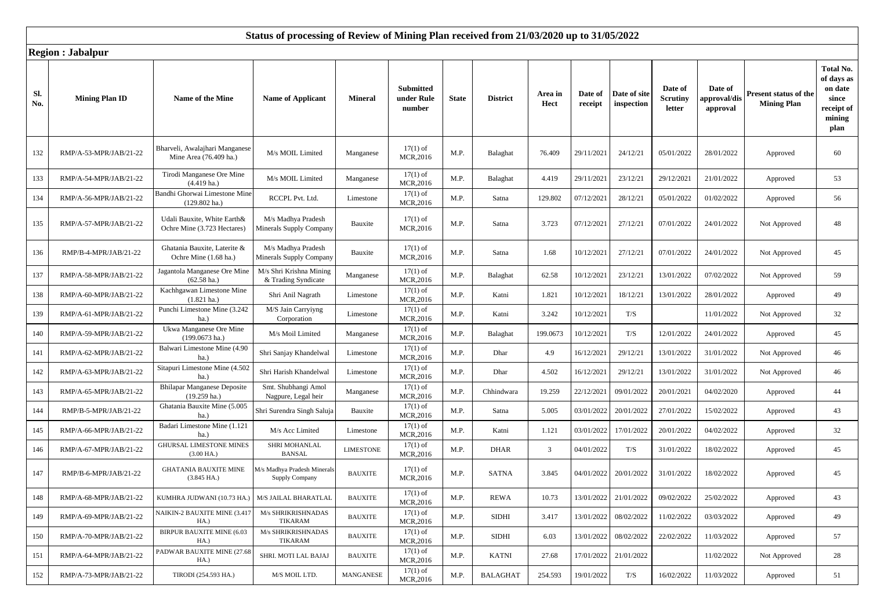|            | Region , Javaipur      |                                                              |                                                |                  |                                          |              |                 |                 |                    |                            |                                      |                                     |                                             |                                                                             |
|------------|------------------------|--------------------------------------------------------------|------------------------------------------------|------------------|------------------------------------------|--------------|-----------------|-----------------|--------------------|----------------------------|--------------------------------------|-------------------------------------|---------------------------------------------|-----------------------------------------------------------------------------|
| SI.<br>No. | <b>Mining Plan ID</b>  | Name of the Mine                                             | <b>Name of Applicant</b>                       | <b>Mineral</b>   | <b>Submitted</b><br>under Rule<br>number | <b>State</b> | <b>District</b> | Area in<br>Hect | Date of<br>receipt | Date of site<br>inspection | Date of<br><b>Scrutiny</b><br>letter | Date of<br>approval/dis<br>approval | Present status of the<br><b>Mining Plan</b> | Total No.<br>of days as<br>on date<br>since<br>receipt of<br>mining<br>plan |
| 132        | RMP/A-53-MPR/JAB/21-22 | Bharveli, Awalajhari Manganese<br>Mine Area (76.409 ha.)     | M/s MOIL Limited                               | Manganese        | $17(1)$ of<br>MCR,2016                   | M.P.         | Balaghat        | 76.409          | 29/11/2021         | 24/12/21                   | 05/01/2022                           | 28/01/2022                          | Approved                                    | 60                                                                          |
| 133        | RMP/A-54-MPR/JAB/21-22 | Tirodi Manganese Ore Mine<br>$(4.419$ ha.)                   | M/s MOIL Limited                               | Manganese        | $17(1)$ of<br>MCR,2016                   | M.P.         | Balaghat        | 4.419           | 29/11/2021         | 23/12/21                   | 29/12/2021                           | 21/01/2022                          | Approved                                    | 53                                                                          |
| 134        | RMP/A-56-MPR/JAB/21-22 | Bandhi Ghorwai Limestone Mine<br>$(129.802 \text{ ha.})$     | RCCPL Pvt. Ltd.                                | Limestone        | $17(1)$ of<br>MCR,2016                   | M.P.         | Satna           | 129.802         | 07/12/2021         | 28/12/21                   | 05/01/2022                           | 01/02/2022                          | Approved                                    | 56                                                                          |
| 135        | RMP/A-57-MPR/JAB/21-22 | Udali Bauxite, White Earth&<br>Ochre Mine (3.723 Hectares)   | M/s Madhya Pradesh<br>Minerals Supply Company  | Bauxite          | $17(1)$ of<br>MCR,2016                   | M.P.         | Satna           | 3.723           | 07/12/2021         | 27/12/21                   | 07/01/2022                           | 24/01/2022                          | Not Approved                                | 48                                                                          |
| 136        | RMP/B-4-MPR/JAB/21-22  | Ghatania Bauxite, Laterite &<br>Ochre Mine (1.68 ha.)        | M/s Madhya Pradesh<br>Minerals Supply Company  | Bauxite          | $17(1)$ of<br>MCR,2016                   | M.P.         | Satna           | 1.68            | 10/12/2021         | 27/12/21                   | 07/01/2022                           | 24/01/2022                          | Not Approved                                | 45                                                                          |
| 137        | RMP/A-58-MPR/JAB/21-22 | Jagantola Manganese Ore Mine<br>$(62.58$ ha.)                | M/s Shri Krishna Mining<br>& Trading Syndicate | Manganese        | $17(1)$ of<br>MCR,2016                   | M.P.         | Balaghat        | 62.58           | 10/12/2021         | 23/12/21                   | 13/01/2022                           | 07/02/2022                          | Not Approved                                | 59                                                                          |
| 138        | RMP/A-60-MPR/JAB/21-22 | Kachhgawan Limestone Mine<br>$(1.821 \text{ ha.})$           | Shri Anil Nagrath                              | Limestone        | $17(1)$ of<br>MCR,2016                   | M.P.         | Katni           | 1.821           | 10/12/2021         | 18/12/21                   | 13/01/2022                           | 28/01/2022                          | Approved                                    | 49                                                                          |
| 139        | RMP/A-61-MPR/JAB/21-22 | Punchi Limestone Mine (3.242)<br>$ha.$ )                     | M/S Jain Carryiyng<br>Corporation              | Limestone        | $17(1)$ of<br>MCR,2016                   | M.P.         | Katni           | 3.242           | 10/12/2021         | $\rm T/S$                  |                                      | 11/01/2022                          | Not Approved                                | 32                                                                          |
| 140        | RMP/A-59-MPR/JAB/21-22 | Ukwa Manganese Ore Mine<br>$(199.0673 \text{ ha.})$          | M/s Moil Limited                               | Manganese        | $17(1)$ of<br>MCR,2016                   | M.P.         | Balaghat        | 199.0673        | 10/12/2021         | T/S                        | 12/01/2022                           | 24/01/2022                          | Approved                                    | 45                                                                          |
| 141        | RMP/A-62-MPR/JAB/21-22 | Balwari Limestone Mine (4.90<br>$ha.$ )                      | Shri Sanjay Khandelwal                         | Limestone        | $17(1)$ of<br>MCR,2016                   | M.P.         | Dhar            | 4.9             | 16/12/2021         | 29/12/21                   | 13/01/2022                           | 31/01/2022                          | Not Approved                                | 46                                                                          |
| 142        | RMP/A-63-MPR/JAB/21-22 | Sitapuri Limestone Mine (4.502<br>ha.)                       | Shri Harish Khandelwal                         | Limestone        | $17(1)$ of<br>MCR, 2016                  | M.P.         | Dhar            | 4.502           | 16/12/2021         | 29/12/21                   | 13/01/2022                           | 31/01/2022                          | Not Approved                                | 46                                                                          |
| 143        | RMP/A-65-MPR/JAB/21-22 | <b>Bhilapar Manganese Deposite</b><br>$(19.259 \text{ ha.})$ | Smt. Shubhangi Amol<br>Nagpure, Legal heir     | Manganese        | $17(1)$ of<br>MCR,2016                   | M.P.         | Chhindwara      | 19.259          | 22/12/2021         | 09/01/2022                 | 20/01/2021                           | 04/02/2020                          | Approved                                    | 44                                                                          |
| 144        | RMP/B-5-MPR/JAB/21-22  | Ghatania Bauxite Mine (5.005<br>$ha.$ )                      | Shri Surendra Singh Saluja                     | Bauxite          | $17(1)$ of<br>MCR,2016                   | M.P.         | Satna           | 5.005           | 03/01/2022         | 20/01/2022                 | 27/01/2022                           | 15/02/2022                          | Approved                                    | 43                                                                          |
| 145        | RMP/A-66-MPR/JAB/21-22 | Badari Limestone Mine (1.121<br>ha.)                         | M/s Acc Limited                                | Limestone        | $17(1)$ of<br>MCR,2016                   | M.P.         | Katni           | 1.121           | 03/01/2022         | 17/01/2022                 | 20/01/2022                           | 04/02/2022                          | Approved                                    | 32                                                                          |
| 146        | RMP/A-67-MPR/JAB/21-22 | <b>GHURSAL LIMESTONE MINES</b><br>$(3.00$ HA.)               | SHRI MOHANLAL<br><b>BANSAL</b>                 | <b>LIMESTONE</b> | $17(1)$ of<br>MCR,2016                   | M.P.         | <b>DHAR</b>     | $\overline{3}$  | 04/01/2022         | $\rm T/S$                  | 31/01/2022                           | 18/02/2022                          | Approved                                    | 45                                                                          |
| 147        | RMP/B-6-MPR/JAB/21-22  | <b>GHATANIA BAUXITE MINE</b><br>$(3.845$ HA.)                | M/s Madhya Pradesh Minerals<br>Supply Company  | <b>BAUXITE</b>   | $17(1)$ of<br>MCR, 2016                  | M.P.         | <b>SATNA</b>    | 3.845           | 04/01/2022         | 20/01/2022                 | 31/01/2022                           | 18/02/2022                          | Approved                                    | 45                                                                          |
| 148        | RMP/A-68-MPR/JAB/21-22 | KUMHRA JUDWANI (10.73 HA.)                                   | M/S JAILAL BHARATLAL                           | <b>BAUXITE</b>   | $17(1)$ of<br>MCR, 2016                  | M.P.         | <b>REWA</b>     | 10.73           | 13/01/2022         | 21/01/2022                 | 09/02/2022                           | 25/02/2022                          | Approved                                    | 43                                                                          |
| 149        | RMP/A-69-MPR/JAB/21-22 | NAIKIN-2 BAUXITE MINE (3.417<br>HA.)                         | M/s SHRIKRISHNADAS<br>TIKARAM                  | <b>BAUXITE</b>   | $17(1)$ of<br>MCR,2016                   | M.P.         | <b>SIDHI</b>    | 3.417           | 13/01/2022         | 08/02/2022                 | 11/02/2022                           | 03/03/2022                          | Approved                                    | 49                                                                          |
| 150        | RMP/A-70-MPR/JAB/21-22 | <b>BIRPUR BAUXITE MINE (6.03</b><br>HA.                      | M/s SHRIKRISHNADAS<br>TIKARAM                  | <b>BAUXITE</b>   | $17(1)$ of<br>MCR,2016                   | M.P.         | <b>SIDHI</b>    | 6.03            | 13/01/2022         | 08/02/2022                 | 22/02/2022                           | 11/03/2022                          | Approved                                    | 57                                                                          |
| 151        | RMP/A-64-MPR/JAB/21-22 | PADWAR BAUXITE MINE (27.68<br>HA.)                           | SHRI. MOTI LAL BAJAJ                           | <b>BAUXITE</b>   | $17(1)$ of<br>MCR,2016                   | M.P.         | <b>KATNI</b>    | 27.68           | 17/01/2022         | 21/01/2022                 |                                      | 11/02/2022                          | Not Approved                                | 28                                                                          |
| 152        | RMP/A-73-MPR/JAB/21-22 | TIRODI (254.593 HA.)                                         | M/S MOIL LTD.                                  | MANGANESE        | $17(1)$ of<br>MCR,2016                   | M.P.         | <b>BALAGHAT</b> | 254.593         | 19/01/2022         | T/S                        | 16/02/2022                           | 11/03/2022                          | Approved                                    | 51                                                                          |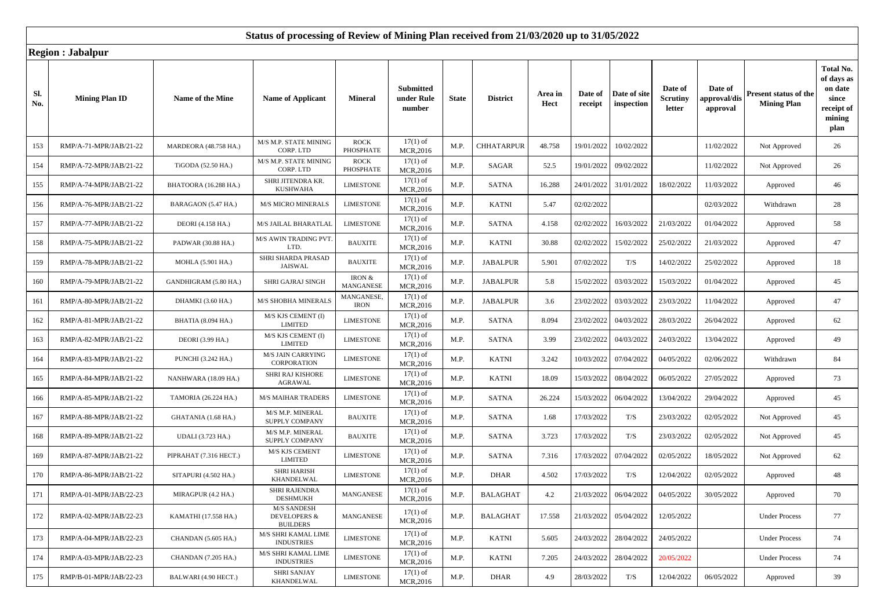|            | nc <sub>h</sub> ion , ouvurpur |                        |                                                                  |                           |                                          |              |                   |                 |                    |                            |                               |                                    |                                                    |                                                                                    |
|------------|--------------------------------|------------------------|------------------------------------------------------------------|---------------------------|------------------------------------------|--------------|-------------------|-----------------|--------------------|----------------------------|-------------------------------|------------------------------------|----------------------------------------------------|------------------------------------------------------------------------------------|
| Sl.<br>No. | <b>Mining Plan ID</b>          | Name of the Mine       | <b>Name of Applicant</b>                                         | <b>Mineral</b>            | <b>Submitted</b><br>under Rule<br>number | <b>State</b> | <b>District</b>   | Area in<br>Hect | Date of<br>receipt | Date of site<br>inspection | Date of<br>Scrutiny<br>letter | Date of<br>pproval/dis<br>approval | <b>Present status of the</b><br><b>Mining Plan</b> | <b>Total No.</b><br>of days as<br>on date<br>since<br>receipt of<br>mining<br>plan |
| 153        | RMP/A-71-MPR/JAB/21-22         | MARDEORA (48.758 HA.)  | M/S M.P. STATE MINING<br>CORP. LTD                               | <b>ROCK</b><br>PHOSPHATE  | $17(1)$ of<br>MCR,2016                   | M.P.         | <b>CHHATARPUR</b> | 48.758          | 19/01/2022         | 10/02/2022                 |                               | 11/02/2022                         | Not Approved                                       | 26                                                                                 |
| 154        | RMP/A-72-MPR/JAB/21-22         | TiGODA (52.50 HA.)     | M/S M.P. STATE MINING<br>CORP. LTD                               | <b>ROCK</b><br>PHOSPHATE  | $17(1)$ of<br>MCR, 2016                  | M.P.         | SAGAR             | 52.5            | 19/01/2022         | 09/02/2022                 |                               | 11/02/2022                         | Not Approved                                       | 26                                                                                 |
| 155        | RMP/A-74-MPR/JAB/21-22         | BHATOORA (16.288 HA.)  | SHRI JITENDRA KR.<br><b>KUSHWAHA</b>                             | <b>LIMESTONE</b>          | $17(1)$ of<br>MCR,2016                   | M.P.         | <b>SATNA</b>      | 16.288          | 24/01/2022         | 31/01/2022                 | 18/02/2022                    | 11/03/2022                         | Approved                                           | 46                                                                                 |
| 156        | RMP/A-76-MPR/JAB/21-22         | BARAGAON (5.47 HA.)    | <b>M/S MICRO MINERALS</b>                                        | <b>LIMESTONE</b>          | $17(1)$ of<br>MCR, 2016                  | M.P.         | <b>KATNI</b>      | 5.47            | 02/02/2022         |                            |                               | 02/03/2022                         | Withdrawn                                          | 28                                                                                 |
| 157        | RMP/A-77-MPR/JAB/21-22         | DEORI (4.158 HA.)      | M/S JAILAL BHARATLAL                                             | <b>LIMESTONE</b>          | $17(1)$ of<br>MCR, 2016                  | M.P.         | <b>SATNA</b>      | 4.158           | 02/02/2022         | 16/03/2022                 | 21/03/2022                    | 01/04/2022                         | Approved                                           | 58                                                                                 |
| 158        | RMP/A-75-MPR/JAB/21-22         | PADWAR (30.88 HA.)     | M/S AWIN TRADING PVT<br>LTD.                                     | <b>BAUXITE</b>            | $17(1)$ of<br>MCR, 2016                  | M.P.         | <b>KATNI</b>      | 30.88           | 02/02/2022         | 15/02/2022                 | 25/02/2022                    | 21/03/2022                         | Approved                                           | 47                                                                                 |
| 159        | RMP/A-78-MPR/JAB/21-22         | MOHLA (5.901 HA.)      | SHRI SHARDA PRASAD<br><b>JAISWAL</b>                             | <b>BAUXITE</b>            | $17(1)$ of<br>MCR,2016                   | M.P.         | <b>JABALPUR</b>   | 5.901           | 07/02/2022         | T/S                        | 14/02/2022                    | 25/02/2022                         | Approved                                           | 18                                                                                 |
| 160        | RMP/A-79-MPR/JAB/21-22         | GANDHIGRAM (5.80 HA.)  | <b>SHRI GAJRAJ SINGH</b>                                         | IRON $\&$<br>MANGANESE    | $17(1)$ of<br>MCR,2016                   | M.P.         | <b>JABALPUR</b>   | 5.8             | 15/02/2022         | 03/03/2022                 | 15/03/2022                    | 01/04/2022                         | Approved                                           | 45                                                                                 |
| 161        | RMP/A-80-MPR/JAB/21-22         | DHAMKI (3.60 HA.)      | M/S SHOBHA MINERALS                                              | MANGANESE,<br><b>IRON</b> | $17(1)$ of<br>MCR,2016                   | M.P.         | <b>JABALPUR</b>   | 3.6             | 23/02/2022         | 03/03/2022                 | 23/03/2022                    | 11/04/2022                         | Approved                                           | 47                                                                                 |
| 162        | RMP/A-81-MPR/JAB/21-22         | BHATIA (8.094 HA.)     | M/S KJS CEMENT (I)<br><b>LIMITED</b>                             | <b>LIMESTONE</b>          | $17(1)$ of<br>MCR, 2016                  | M.P.         | <b>SATNA</b>      | 8.094           | 23/02/2022         | 04/03/2022                 | 28/03/2022                    | 26/04/2022                         | Approved                                           | 62                                                                                 |
| 163        | RMP/A-82-MPR/JAB/21-22         | DEORI (3.99 HA.)       | M/S KJS CEMENT (I)<br><b>LIMITED</b>                             | <b>LIMESTONE</b>          | $17(1)$ of<br>MCR,2016                   | M.P.         | <b>SATNA</b>      | 3.99            | 23/02/2022         | 04/03/2022                 | 24/03/2022                    | 13/04/2022                         | Approved                                           | 49                                                                                 |
| 164        | RMP/A-83-MPR/JAB/21-22         | PUNCHI (3.242 HA.)     | <b>M/S JAIN CARRYING</b><br>CORPORATION                          | <b>LIMESTONE</b>          | $17(1)$ of<br>MCR, 2016                  | M.P.         | <b>KATNI</b>      | 3.242           | 10/03/2022         | 07/04/2022                 | 04/05/2022                    | 02/06/2022                         | Withdrawn                                          | 84                                                                                 |
| 165        | RMP/A-84-MPR/JAB/21-22         | NANHWARA (18.09 HA.)   | SHRI RAJ KISHORE<br>AGRAWAL                                      | <b>LIMESTONE</b>          | $17(1)$ of<br>MCR,2016                   | M.P.         | <b>KATNI</b>      | 18.09           | 15/03/2022         | 08/04/2022                 | 06/05/2022                    | 27/05/2022                         | Approved                                           | 73                                                                                 |
| 166        | RMP/A-85-MPR/JAB/21-22         | TAMORIA (26.224 HA.)   | <b>M/S MAIHAR TRADERS</b>                                        | <b>LIMESTONE</b>          | $17(1)$ of<br>MCR,2016                   | M.P.         | <b>SATNA</b>      | 26.224          | 15/03/2022         | 06/04/2022                 | 13/04/2022                    | 29/04/2022                         | Approved                                           | 45                                                                                 |
| 167        | RMP/A-88-MPR/JAB/21-22         | GHATANIA (1.68 HA.)    | M/S M.P. MINERAL<br>SUPPLY COMPANY                               | <b>BAUXITE</b>            | $17(1)$ of<br>MCR,2016                   | M.P.         | <b>SATNA</b>      | 1.68            | 17/03/2022         | T/S                        | 23/03/2022                    | 02/05/2022                         | Not Approved                                       | 45                                                                                 |
| 168        | RMP/A-89-MPR/JAB/21-22         | UDALI (3.723 HA.)      | M/S M.P. MINERAL<br>SUPPLY COMPANY                               | <b>BAUXITE</b>            | $17(1)$ of<br>MCR, 2016                  | M.P.         | <b>SATNA</b>      | 3.723           | 17/03/2022         | T/S                        | 23/03/2022                    | 02/05/2022                         | Not Approved                                       | 45                                                                                 |
| 169        | RMP/A-87-MPR/JAB/21-22         | PIPRAHAT (7.316 HECT.) | M/S KJS CEMENT<br><b>LIMITED</b>                                 | <b>LIMESTONE</b>          | $17(1)$ of<br>MCR,2016                   | M.P.         | <b>SATNA</b>      | 7.316           | 17/03/2022         | 07/04/2022                 | 02/05/2022                    | 18/05/2022                         | Not Approved                                       | 62                                                                                 |
| 170        | RMP/A-86-MPR/JAB/21-22         | SITAPURI (4.502 HA.)   | SHRI HARISH<br>KHANDELWAL                                        | <b>LIMESTONE</b>          | $17(1)$ of<br>MCR, 2016                  | M.P.         | DHAR              | 4.502           | 17/03/2022         | T/S                        | 12/04/2022                    | 02/05/2022                         | Approved                                           | 48                                                                                 |
| 171        | RMP/A-01-MPR/JAB/22-23         | MIRAGPUR (4.2 HA.)     | SHRI RAJENDRA<br><b>DESHMUKH</b>                                 | MANGANESE                 | $17(1)$ of<br>MCR,2016                   | M.P.         | <b>BALAGHAT</b>   | 4.2             | 21/03/2022         | 06/04/2022                 | 04/05/2022                    | 30/05/2022                         | Approved                                           | 70                                                                                 |
| 172        | RMP/A-02-MPR/JAB/22-23         | KAMATHI (17.558 HA.)   | <b>M/S SANDESH</b><br><b>DEVELOPERS &amp;</b><br><b>BUILDERS</b> | MANGANESE                 | $17(1)$ of<br>MCR,2016                   | M.P.         | <b>BALAGHAT</b>   | 17.558          | 21/03/2022         | 05/04/2022                 | 12/05/2022                    |                                    | <b>Under Process</b>                               | 77                                                                                 |
| 173        | RMP/A-04-MPR/JAB/22-23         | CHANDAN (5.605 HA.)    | M/S SHRI KAMAL LIME<br><b>INDUSTRIES</b>                         | <b>LIMESTONE</b>          | $17(1)$ of<br>MCR,2016                   | M.P.         | <b>KATNI</b>      | 5.605           | 24/03/2022         | 28/04/2022                 | 24/05/2022                    |                                    | <b>Under Process</b>                               | 74                                                                                 |
| 174        | RMP/A-03-MPR/JAB/22-23         | CHANDAN (7.205 HA.)    | M/S SHRI KAMAL LIME<br><b>INDUSTRIES</b>                         | <b>LIMESTONE</b>          | $17(1)$ of<br>MCR, 2016                  | M.P.         | <b>KATNI</b>      | 7.205           | 24/03/2022         | 28/04/2022                 | 20/05/2022                    |                                    | <b>Under Process</b>                               | 74                                                                                 |
| 175        | RMP/B-01-MPR/JAB/22-23         | BALWARI (4.90 HECT.)   | SHRI SANJAY<br>KHANDELWAL                                        | <b>LIMESTONE</b>          | $17(1)$ of<br>MCR, 2016                  | M.P.         | <b>DHAR</b>       | 4.9             | 28/03/2022         | T/S                        | 12/04/2022                    | 06/05/2022                         | Approved                                           | 39                                                                                 |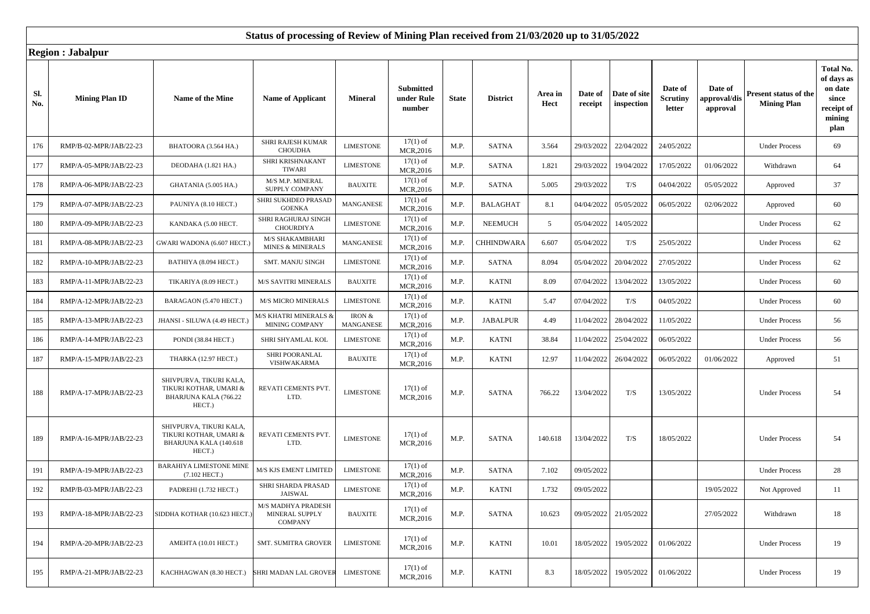|            | KUGIUH . JADAIPUL      |                                                                                       |                                                         |                     |                                          |              |                   |                 |                    |                            |                               |                                     |                                             |                                                                             |
|------------|------------------------|---------------------------------------------------------------------------------------|---------------------------------------------------------|---------------------|------------------------------------------|--------------|-------------------|-----------------|--------------------|----------------------------|-------------------------------|-------------------------------------|---------------------------------------------|-----------------------------------------------------------------------------|
| Sl.<br>No. | <b>Mining Plan ID</b>  | Name of the Mine                                                                      | <b>Name of Applicant</b>                                | <b>Mineral</b>      | <b>Submitted</b><br>under Rule<br>number | <b>State</b> | <b>District</b>   | Area in<br>Hect | Date of<br>receipt | Date of site<br>inspection | Date of<br>Scrutiny<br>letter | Date of<br>approval/dis<br>approval | Present status of the<br><b>Mining Plan</b> | Total No.<br>of days as<br>on date<br>since<br>receipt of<br>mining<br>plan |
| 176        | RMP/B-02-MPR/JAB/22-23 | BHATOORA (3.564 HA.)                                                                  | SHRI RAJESH KUMAR<br><b>CHOUDHA</b>                     | <b>LIMESTONE</b>    | $17(1)$ of<br>MCR,2016                   | M.P.         | <b>SATNA</b>      | 3.564           | 29/03/2022         | 22/04/2022                 | 24/05/2022                    |                                     | <b>Under Process</b>                        | 69                                                                          |
| 177        | RMP/A-05-MPR/JAB/22-23 | DEODAHA (1.821 HA.)                                                                   | SHRI KRISHNAKANT<br>TIWARI                              | <b>LIMESTONE</b>    | $17(1)$ of<br>MCR,2016                   | M.P.         | <b>SATNA</b>      | 1.821           | 29/03/2022         | 19/04/2022                 | 17/05/2022                    | 01/06/2022                          | Withdrawn                                   | 64                                                                          |
| 178        | RMP/A-06-MPR/JAB/22-23 | GHATANIA (5.005 HA.)                                                                  | M/S M.P. MINERAL<br>SUPPLY COMPANY                      | <b>BAUXITE</b>      | $17(1)$ of<br>MCR, 2016                  | M.P.         | <b>SATNA</b>      | 5.005           | 29/03/2022         | T/S                        | 04/04/2022                    | 05/05/2022                          | Approved                                    | 37                                                                          |
| 179        | RMP/A-07-MPR/JAB/22-23 | PAUNIYA (8.10 HECT.)                                                                  | SHRI SUKHDEO PRASAD<br><b>GOENKA</b>                    | MANGANESE           | $17(1)$ of<br>MCR,2016                   | M.P.         | <b>BALAGHAT</b>   | 8.1             | 04/04/2022         | 05/05/2022                 | 06/05/2022                    | 02/06/2022                          | Approved                                    | 60                                                                          |
| 180        | RMP/A-09-MPR/JAB/22-23 | KANDAKA (5.00 HECT.                                                                   | SHRI RAGHURAJ SINGH<br><b>CHOURDIYA</b>                 | <b>LIMESTONE</b>    | $17(1)$ of<br>MCR,2016                   | M.P.         | <b>NEEMUCH</b>    | 5               | 05/04/2022         | 14/05/2022                 |                               |                                     | <b>Under Process</b>                        | 62                                                                          |
| 181        | RMP/A-08-MPR/JAB/22-23 | GWARI WADONA (6.607 HECT.                                                             | M/S SHAKAMBHARI<br><b>MINES &amp; MINERALS</b>          | MANGANESE           | $17(1)$ of<br>MCR,2016                   | M.P.         | <b>CHHINDWARA</b> | 6.607           | 05/04/2022         | T/S                        | 25/05/2022                    |                                     | <b>Under Process</b>                        | 62                                                                          |
| 182        | RMP/A-10-MPR/JAB/22-23 | BATHIYA (8.094 HECT.)                                                                 | <b>SMT. MANJU SINGH</b>                                 | <b>LIMESTONE</b>    | $17(1)$ of<br>MCR,2016                   | M.P.         | <b>SATNA</b>      | 8.094           | 05/04/2022         | 20/04/2022                 | 27/05/2022                    |                                     | <b>Under Process</b>                        | 62                                                                          |
| 183        | RMP/A-11-MPR/JAB/22-23 | TIKARIYA (8.09 HECT.)                                                                 | <b>M/S SAVITRI MINERALS</b>                             | <b>BAUXITE</b>      | $17(1)$ of<br>MCR,2016                   | M.P.         | <b>KATNI</b>      | 8.09            | 07/04/2022         | 13/04/2022                 | 13/05/2022                    |                                     | <b>Under Process</b>                        | 60                                                                          |
| 184        | RMP/A-12-MPR/JAB/22-23 | BARAGAON (5.470 HECT.)                                                                | <b>M/S MICRO MINERALS</b>                               | <b>LIMESTONE</b>    | $17(1)$ of<br>MCR,2016                   | M.P.         | <b>KATNI</b>      | 5.47            | 07/04/2022         | T/S                        | 04/05/2022                    |                                     | <b>Under Process</b>                        | 60                                                                          |
| 185        | RMP/A-13-MPR/JAB/22-23 | JHANSI - SILUWA (4.49 HECT.)                                                          | M/S KHATRI MINERALS &<br>MINING COMPANY                 | IRON &<br>MANGANESE | $17(1)$ of<br>MCR,2016                   | M.P.         | <b>JABALPUR</b>   | 4.49            | 11/04/2022         | 28/04/2022                 | 11/05/2022                    |                                     | <b>Under Process</b>                        | 56                                                                          |
| 186        | RMP/A-14-MPR/JAB/22-23 | PONDI (38.84 HECT.)                                                                   | SHRI SHYAMLAL KOL                                       | <b>LIMESTONE</b>    | $17(1)$ of<br>MCR,2016                   | M.P.         | <b>KATNI</b>      | 38.84           | 11/04/2022         | 25/04/2022                 | 06/05/2022                    |                                     | <b>Under Process</b>                        | 56                                                                          |
| 187        | RMP/A-15-MPR/JAB/22-23 | THARKA (12.97 HECT.)                                                                  | SHRI POORANLAL<br>VISHWAKARMA                           | <b>BAUXITE</b>      | $17(1)$ of<br>MCR, 2016                  | M.P.         | <b>KATNI</b>      | 12.97           | 11/04/2022         | 26/04/2022                 | 06/05/2022                    | 01/06/2022                          | Approved                                    | 51                                                                          |
| 188        | RMP/A-17-MPR/JAB/22-23 | SHIVPURVA, TIKURI KALA,<br>TIKURI KOTHAR, UMARI &<br>BHARJUNA KALA (766.22<br>HECT.)  | REVATI CEMENTS PVT.<br>LTD.                             | <b>LIMESTONE</b>    | $17(1)$ of<br>MCR, 2016                  | M.P.         | <b>SATNA</b>      | 766.22          | 13/04/2022         | T/S                        | 13/05/2022                    |                                     | <b>Under Process</b>                        | 54                                                                          |
| 189        | RMP/A-16-MPR/JAB/22-23 | SHIVPURVA, TIKURI KALA,<br>TIKURI KOTHAR, UMARI &<br>BHARJUNA KALA (140.618<br>HECT.) | REVATI CEMENTS PVT.<br>LTD.                             | <b>LIMESTONE</b>    | $17(1)$ of<br>MCR, 2016                  | M.P.         | <b>SATNA</b>      | 140.618         | 13/04/2022         | T/S                        | 18/05/2022                    |                                     | <b>Under Process</b>                        | 54                                                                          |
| 191        | RMP/A-19-MPR/JAB/22-23 | <b>BARAHIYA LIMESTONE MINE</b><br>$(7.102$ HECT.)                                     | M/S KJS EMENT LIMITED                                   | <b>LIMESTONE</b>    | $17(1)$ of<br>MCR,2016                   | M.P.         | <b>SATNA</b>      | 7.102           | 09/05/2022         |                            |                               |                                     | <b>Under Process</b>                        | 28                                                                          |
| 192        | RMP/B-03-MPR/JAB/22-23 | PADREHI (1.732 HECT.)                                                                 | SHRI SHARDA PRASAD<br><b>JAISWAL</b>                    | <b>LIMESTONE</b>    | $17(1)$ of<br>MCR,2016                   | M.P.         | <b>KATNI</b>      | 1.732           | 09/05/2022         |                            |                               | 19/05/2022                          | Not Approved                                | 11                                                                          |
| 193        | RMP/A-18-MPR/JAB/22-23 | SIDDHA KOTHAR (10.623 HECT.)                                                          | M/S MADHY A PRADESH<br>MINERAL SUPPLY<br><b>COMPANY</b> | <b>BAUXITE</b>      | $17(1)$ of<br>MCR, 2016                  | M.P.         | <b>SATNA</b>      | 10.623          | 09/05/2022         | 21/05/2022                 |                               | 27/05/2022                          | Withdrawn                                   | 18                                                                          |
| 194        | RMP/A-20-MPR/JAB/22-23 | AMEHTA (10.01 HECT.)                                                                  | <b>SMT. SUMITRA GROVER</b>                              | <b>LIMESTONE</b>    | $17(1)$ of<br>MCR, 2016                  | M.P.         | <b>KATNI</b>      | 10.01           | 18/05/2022         | 19/05/2022                 | 01/06/2022                    |                                     | <b>Under Process</b>                        | 19                                                                          |
| 195        | RMP/A-21-MPR/JAB/22-23 | KACHHAGWAN (8.30 HECT.)                                                               | SHRI MADAN LAL GROVER                                   | <b>LIMESTONE</b>    | $17(1)$ of<br>MCR,2016                   | M.P.         | <b>KATNI</b>      | 8.3             | 18/05/2022         | 19/05/2022                 | 01/06/2022                    |                                     | <b>Under Process</b>                        | 19                                                                          |